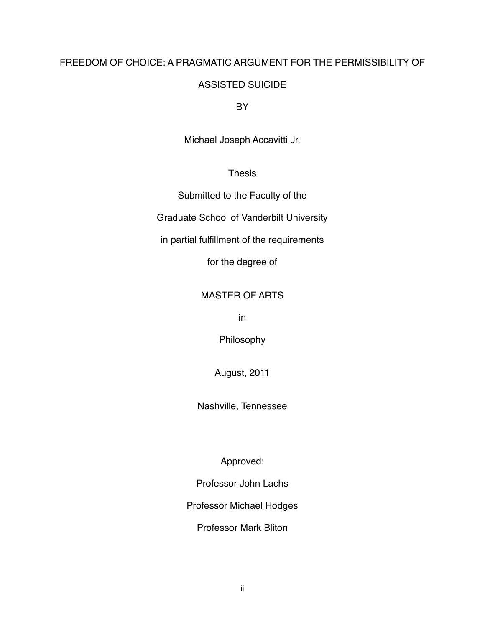# FREEDOM OF CHOICE: A PRAGMATIC ARGUMENT FOR THE PERMISSIBILITY OF

## ASSISTED SUICIDE

**BY** 

Michael Joseph Accavitti Jr.

## Thesis

Submitted to the Faculty of the

Graduate School of Vanderbilt University

in partial fulfillment of the requirements

for the degree of

### MASTER OF ARTS

in

Philosophy

August, 2011

Nashville, Tennessee

Approved:

Professor John Lachs

Professor Michael Hodges

Professor Mark Bliton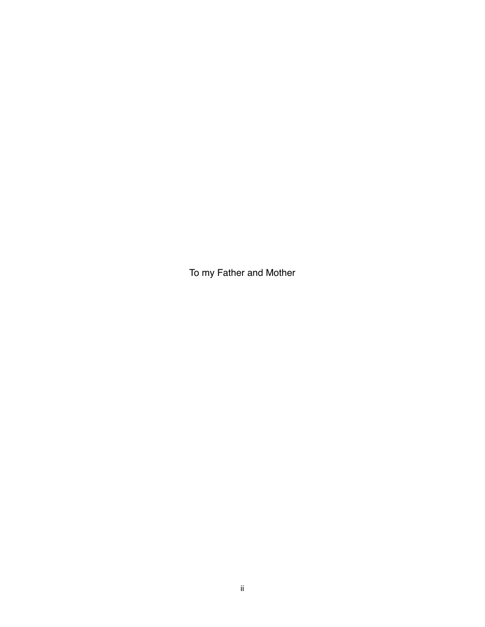To my Father and Mother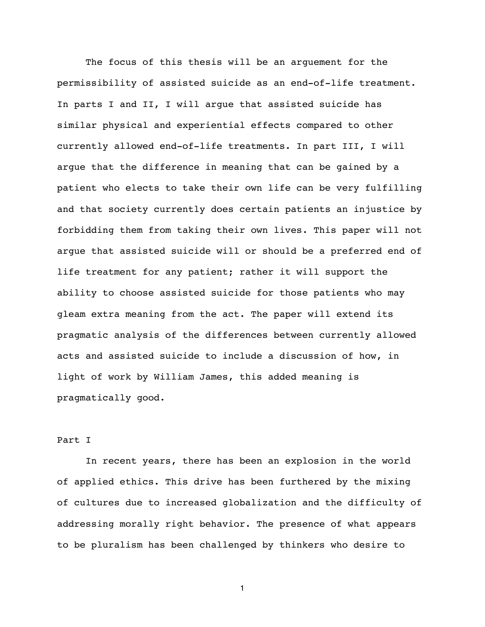The focus of this thesis will be an arguement for the permissibility of assisted suicide as an end-of-life treatment. In parts I and II, I will argue that assisted suicide has similar physical and experiential effects compared to other currently allowed end-of-life treatments. In part III, I will argue that the difference in meaning that can be gained by a patient who elects to take their own life can be very fulfilling and that society currently does certain patients an injustice by forbidding them from taking their own lives. This paper will not argue that assisted suicide will or should be a preferred end of life treatment for any patient; rather it will support the ability to choose assisted suicide for those patients who may gleam extra meaning from the act. The paper will extend its pragmatic analysis of the differences between currently allowed acts and assisted suicide to include a discussion of how, in light of work by William James, this added meaning is pragmatically good.

### Part I

In recent years, there has been an explosion in the world of applied ethics. This drive has been furthered by the mixing of cultures due to increased globalization and the difficulty of addressing morally right behavior. The presence of what appears to be pluralism has been challenged by thinkers who desire to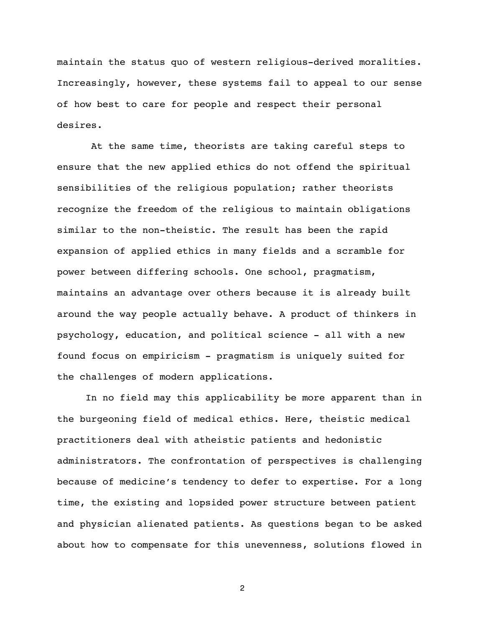maintain the status quo of western religious-derived moralities. Increasingly, however, these systems fail to appeal to our sense of how best to care for people and respect their personal desires.

At the same time, theorists are taking careful steps to ensure that the new applied ethics do not offend the spiritual sensibilities of the religious population; rather theorists recognize the freedom of the religious to maintain obligations similar to the non-theistic. The result has been the rapid expansion of applied ethics in many fields and a scramble for power between differing schools. One school, pragmatism, maintains an advantage over others because it is already built around the way people actually behave. A product of thinkers in psychology, education, and political science - all with a new found focus on empiricism - pragmatism is uniquely suited for the challenges of modern applications.

In no field may this applicability be more apparent than in the burgeoning field of medical ethics. Here, theistic medical practitioners deal with atheistic patients and hedonistic administrators. The confrontation of perspectives is challenging because of medicine's tendency to defer to expertise. For a long time, the existing and lopsided power structure between patient and physician alienated patients. As questions began to be asked about how to compensate for this unevenness, solutions flowed in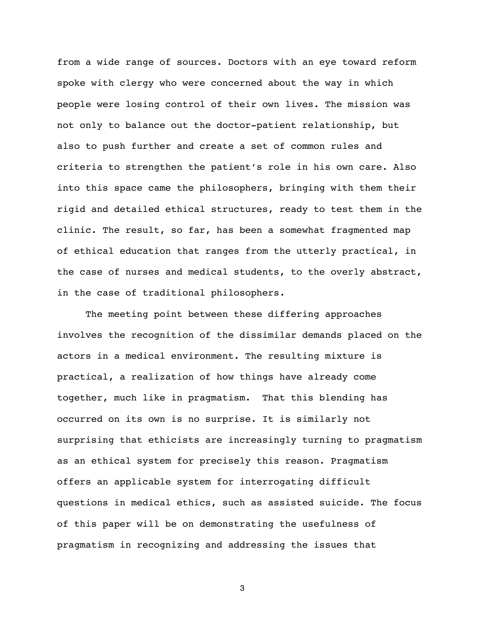from a wide range of sources. Doctors with an eye toward reform spoke with clergy who were concerned about the way in which people were losing control of their own lives. The mission was not only to balance out the doctor-patient relationship, but also to push further and create a set of common rules and criteria to strengthen the patient's role in his own care. Also into this space came the philosophers, bringing with them their rigid and detailed ethical structures, ready to test them in the clinic. The result, so far, has been a somewhat fragmented map of ethical education that ranges from the utterly practical, in the case of nurses and medical students, to the overly abstract, in the case of traditional philosophers.

The meeting point between these differing approaches involves the recognition of the dissimilar demands placed on the actors in a medical environment. The resulting mixture is practical, a realization of how things have already come together, much like in pragmatism. That this blending has occurred on its own is no surprise. It is similarly not surprising that ethicists are increasingly turning to pragmatism as an ethical system for precisely this reason. Pragmatism offers an applicable system for interrogating difficult questions in medical ethics, such as assisted suicide. The focus of this paper will be on demonstrating the usefulness of pragmatism in recognizing and addressing the issues that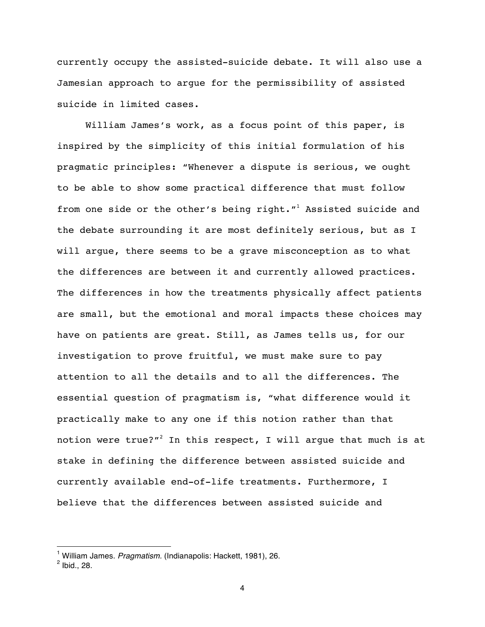currently occupy the assisted-suicide debate. It will also use a Jamesian approach to argue for the permissibility of assisted suicide in limited cases.

William James's work, as a focus point of this paper, is inspired by the simplicity of this initial formulation of his pragmatic principles: "Whenever a dispute is serious, we ought to be able to show some practical difference that must follow from one side or the other's being right."<sup>1</sup> Assisted suicide and the debate surrounding it are most definitely serious, but as I will argue, there seems to be a grave misconception as to what the differences are between it and currently allowed practices. The differences in how the treatments physically affect patients are small, but the emotional and moral impacts these choices may have on patients are great. Still, as James tells us, for our investigation to prove fruitful, we must make sure to pay attention to all the details and to all the differences. The essential question of pragmatism is, "what difference would it practically make to any one if this notion rather than that notion were true?"<sup>2</sup> In this respect, I will argue that much is at stake in defining the difference between assisted suicide and currently available end-of-life treatments. Furthermore, I believe that the differences between assisted suicide and

<sup>1</sup> William James. *Pragmatism.* (Indianapolis: Hackett, 1981), 26.

 $<sup>2</sup>$  Ibid., 28.</sup>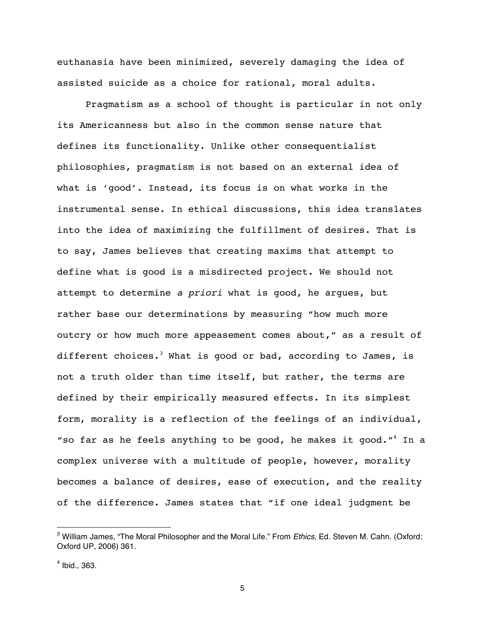euthanasia have been minimized, severely damaging the idea of assisted suicide as a choice for rational, moral adults.

Pragmatism as a school of thought is particular in not only its Americanness but also in the common sense nature that defines its functionality. Unlike other consequentialist philosophies, pragmatism is not based on an external idea of what is 'good'. Instead, its focus is on what works in the instrumental sense. In ethical discussions, this idea translates into the idea of maximizing the fulfillment of desires. That is to say, James believes that creating maxims that attempt to define what is good is a misdirected project. We should not attempt to determine *a priori* what is good, he argues, but rather base our determinations by measuring "how much more outcry or how much more appeasement comes about," as a result of different choices.<sup>3</sup> What is good or bad, according to James, is not a truth older than time itself, but rather, the terms are defined by their empirically measured effects. In its simplest form, morality is a reflection of the feelings of an individual, "so far as he feels anything to be good, he makes it good." $4$  In a complex universe with a multitude of people, however, morality becomes a balance of desires, ease of execution, and the reality of the difference. James states that "if one ideal judgment be

<sup>3</sup> William James, "The Moral Philosopher and the Moral Life." From *Ethics,* Ed. Steven M. Cahn. (Oxford: Oxford UP, 2006) 361.

 $<sup>4</sup>$  Ibid., 363.</sup>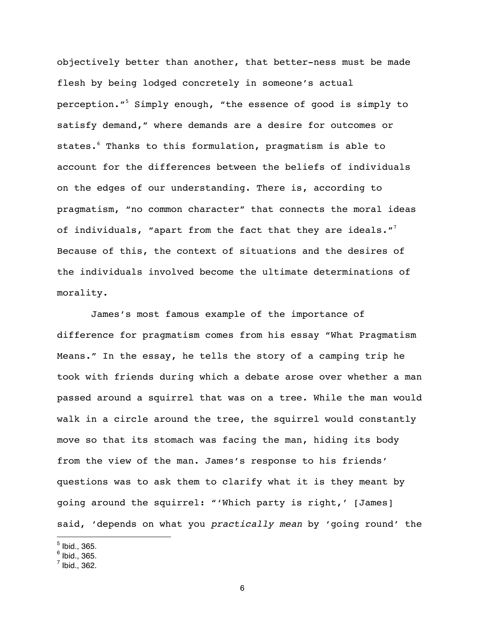objectively better than another, that better-ness must be made flesh by being lodged concretely in someone's actual perception."5 Simply enough, "the essence of good is simply to satisfy demand," where demands are a desire for outcomes or states.<sup>6</sup> Thanks to this formulation, pragmatism is able to account for the differences between the beliefs of individuals on the edges of our understanding. There is, according to pragmatism, "no common character" that connects the moral ideas of individuals, "apart from the fact that they are ideals."<sup>7</sup> Because of this, the context of situations and the desires of the individuals involved become the ultimate determinations of morality.

James's most famous example of the importance of difference for pragmatism comes from his essay "What Pragmatism Means." In the essay, he tells the story of a camping trip he took with friends during which a debate arose over whether a man passed around a squirrel that was on a tree. While the man would walk in a circle around the tree, the squirrel would constantly move so that its stomach was facing the man, hiding its body from the view of the man. James's response to his friends' questions was to ask them to clarify what it is they meant by going around the squirrel: "'Which party is right,' [James] said, 'depends on what you *practically mean* by 'going round' the

 $^5$  Ibid., 365.

 $^6$  Ibid., 365.

 $^7$  Ibid., 362.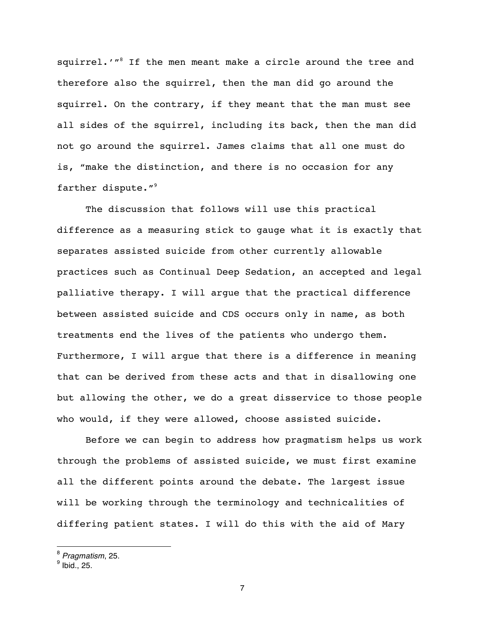squirrel.'"<sup>8</sup> If the men meant make a circle around the tree and therefore also the squirrel, then the man did go around the squirrel. On the contrary, if they meant that the man must see all sides of the squirrel, including its back, then the man did not go around the squirrel. James claims that all one must do is, "make the distinction, and there is no occasion for any farther dispute."<sup>9</sup>

The discussion that follows will use this practical difference as a measuring stick to gauge what it is exactly that separates assisted suicide from other currently allowable practices such as Continual Deep Sedation, an accepted and legal palliative therapy. I will argue that the practical difference between assisted suicide and CDS occurs only in name, as both treatments end the lives of the patients who undergo them. Furthermore, I will argue that there is a difference in meaning that can be derived from these acts and that in disallowing one but allowing the other, we do a great disservice to those people who would, if they were allowed, choose assisted suicide.

Before we can begin to address how pragmatism helps us work through the problems of assisted suicide, we must first examine all the different points around the debate. The largest issue will be working through the terminology and technicalities of differing patient states. I will do this with the aid of Mary

<sup>8</sup> *Pragmatism*, 25.

 $<sup>9</sup>$  Ibid., 25.</sup>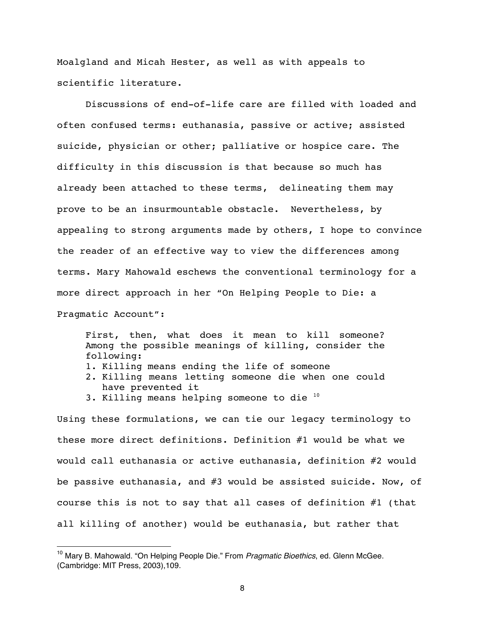Moalgland and Micah Hester, as well as with appeals to scientific literature.

Discussions of end-of-life care are filled with loaded and often confused terms: euthanasia, passive or active; assisted suicide, physician or other; palliative or hospice care. The difficulty in this discussion is that because so much has already been attached to these terms, delineating them may prove to be an insurmountable obstacle. Nevertheless, by appealing to strong arguments made by others, I hope to convince the reader of an effective way to view the differences among terms. Mary Mahowald eschews the conventional terminology for a more direct approach in her "On Helping People to Die: a Pragmatic Account":

First, then, what does it mean to kill someone? Among the possible meanings of killing, consider the following: 1. Killing means ending the life of someone 2. Killing means letting someone die when one could have prevented it 3. Killing means helping someone to die 10

Using these formulations, we can tie our legacy terminology to these more direct definitions. Definition #1 would be what we would call euthanasia or active euthanasia, definition #2 would be passive euthanasia, and #3 would be assisted suicide. Now, of course this is not to say that all cases of definition #1 (that all killing of another) would be euthanasia, but rather that

<sup>10</sup> Mary B. Mahowald. "On Helping People Die." From *Pragmatic Bioethics*, ed. Glenn McGee. (Cambridge: MIT Press, 2003),109.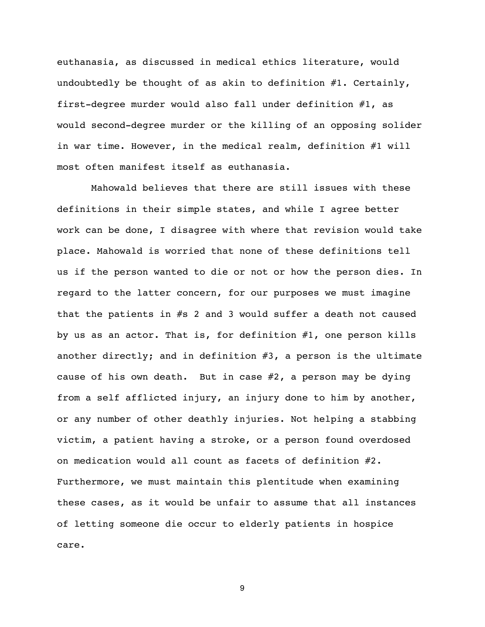euthanasia, as discussed in medical ethics literature, would undoubtedly be thought of as akin to definition #1. Certainly, first-degree murder would also fall under definition #1, as would second-degree murder or the killing of an opposing solider in war time. However, in the medical realm, definition #1 will most often manifest itself as euthanasia.

Mahowald believes that there are still issues with these definitions in their simple states, and while I agree better work can be done, I disagree with where that revision would take place. Mahowald is worried that none of these definitions tell us if the person wanted to die or not or how the person dies. In regard to the latter concern, for our purposes we must imagine that the patients in  $#s$  2 and 3 would suffer a death not caused by us as an actor. That is, for definition #1, one person kills another directly; and in definition #3, a person is the ultimate cause of his own death. But in case #2, a person may be dying from a self afflicted injury, an injury done to him by another, or any number of other deathly injuries. Not helping a stabbing victim, a patient having a stroke, or a person found overdosed on medication would all count as facets of definition #2. Furthermore, we must maintain this plentitude when examining these cases, as it would be unfair to assume that all instances of letting someone die occur to elderly patients in hospice care.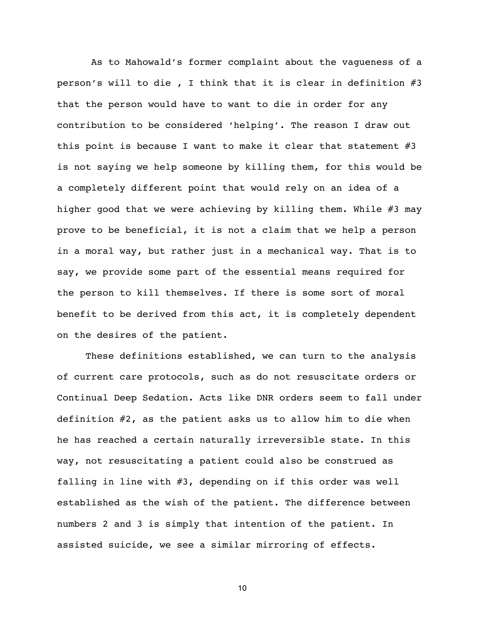As to Mahowald's former complaint about the vagueness of a person's will to die , I think that it is clear in definition #3 that the person would have to want to die in order for any contribution to be considered 'helping'. The reason I draw out this point is because I want to make it clear that statement #3 is not saying we help someone by killing them, for this would be a completely different point that would rely on an idea of a higher good that we were achieving by killing them. While #3 may prove to be beneficial, it is not a claim that we help a person in a moral way, but rather just in a mechanical way. That is to say, we provide some part of the essential means required for the person to kill themselves. If there is some sort of moral benefit to be derived from this act, it is completely dependent on the desires of the patient.

These definitions established, we can turn to the analysis of current care protocols, such as do not resuscitate orders or Continual Deep Sedation. Acts like DNR orders seem to fall under definition #2, as the patient asks us to allow him to die when he has reached a certain naturally irreversible state. In this way, not resuscitating a patient could also be construed as falling in line with #3, depending on if this order was well established as the wish of the patient. The difference between numbers 2 and 3 is simply that intention of the patient. In assisted suicide, we see a similar mirroring of effects.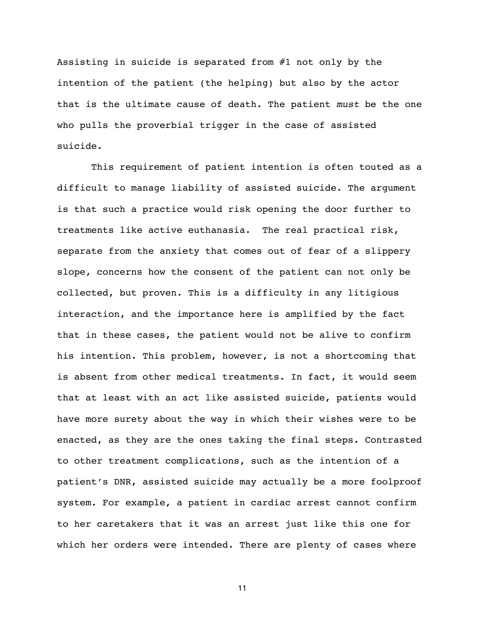Assisting in suicide is separated from #1 not only by the intention of the patient (the helping) but also by the actor that is the ultimate cause of death. The patient *must* be the one who pulls the proverbial trigger in the case of assisted suicide.

This requirement of patient intention is often touted as a difficult to manage liability of assisted suicide. The argument is that such a practice would risk opening the door further to treatments like active euthanasia. The real practical risk, separate from the anxiety that comes out of fear of a slippery slope, concerns how the consent of the patient can not only be collected, but proven. This is a difficulty in any litigious interaction, and the importance here is amplified by the fact that in these cases, the patient would not be alive to confirm his intention. This problem, however, is not a shortcoming that is absent from other medical treatments. In fact, it would seem that at least with an act like assisted suicide, patients would have more surety about the way in which their wishes were to be enacted, as they are the ones taking the final steps. Contrasted to other treatment complications, such as the intention of a patient's DNR, assisted suicide may actually be a more foolproof system. For example, a patient in cardiac arrest cannot confirm to her caretakers that it was an arrest just like this one for which her orders were intended. There are plenty of cases where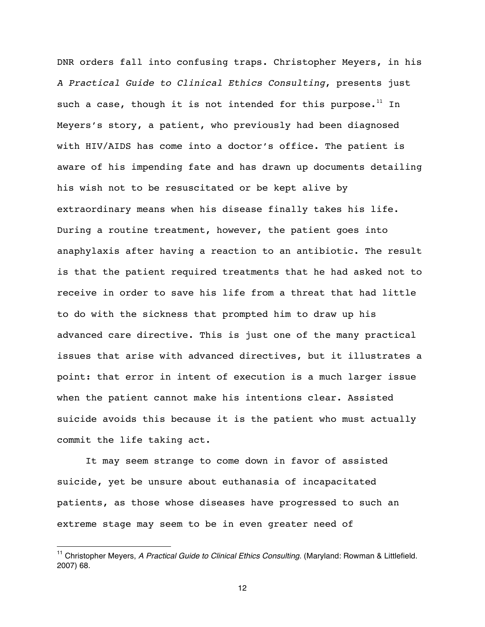DNR orders fall into confusing traps. Christopher Meyers, in his *A Practical Guide to Clinical Ethics Consulting*, presents just such a case, though it is not intended for this purpose.<sup>11</sup> In Meyers's story, a patient, who previously had been diagnosed with HIV/AIDS has come into a doctor's office. The patient is aware of his impending fate and has drawn up documents detailing his wish not to be resuscitated or be kept alive by extraordinary means when his disease finally takes his life. During a routine treatment, however, the patient goes into anaphylaxis after having a reaction to an antibiotic. The result is that the patient required treatments that he had asked not to receive in order to save his life from a threat that had little to do with the sickness that prompted him to draw up his advanced care directive. This is just one of the many practical issues that arise with advanced directives, but it illustrates a point: that error in intent of execution is a much larger issue when the patient cannot make his intentions clear. Assisted suicide avoids this because it is the patient who must actually commit the life taking act.

It may seem strange to come down in favor of assisted suicide, yet be unsure about euthanasia of incapacitated patients, as those whose diseases have progressed to such an extreme stage may seem to be in even greater need of

 $\overline{a}$ 

<sup>&</sup>lt;sup>11</sup> Christopher Meyers, *A Practical Guide to Clinical Ethics Consulting*. (Maryland: Rowman & Littlefield. 2007) 68.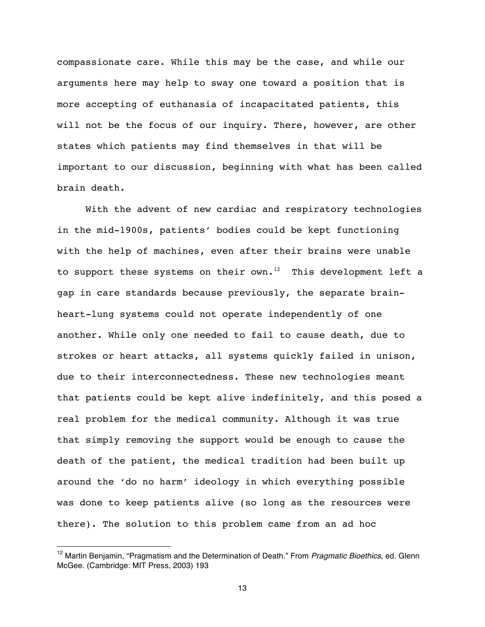compassionate care. While this may be the case, and while our arguments here may help to sway one toward a position that is more accepting of euthanasia of incapacitated patients, this will not be the focus of our inquiry. There, however, are other states which patients may find themselves in that will be important to our discussion, beginning with what has been called brain death.

With the advent of new cardiac and respiratory technologies in the mid-1900s, patients' bodies could be kept functioning with the help of machines, even after their brains were unable to support these systems on their  $own^{-12}$  This development left a gap in care standards because previously, the separate brainheart-lung systems could not operate independently of one another. While only one needed to fail to cause death, due to strokes or heart attacks, all systems quickly failed in unison, due to their interconnectedness. These new technologies meant that patients could be kept alive indefinitely, and this posed a real problem for the medical community. Although it was true that simply removing the support would be enough to cause the death of the patient, the medical tradition had been built up around the 'do no harm' ideology in which everything possible was done to keep patients alive (so long as the resources were there). The solution to this problem came from an ad hoc

 $\overline{a}$ 

<sup>12</sup> Martin Benjamin, "Pragmatism and the Determination of Death." From *Pragmatic Bioethics*, ed. Glenn McGee. (Cambridge: MIT Press, 2003) 193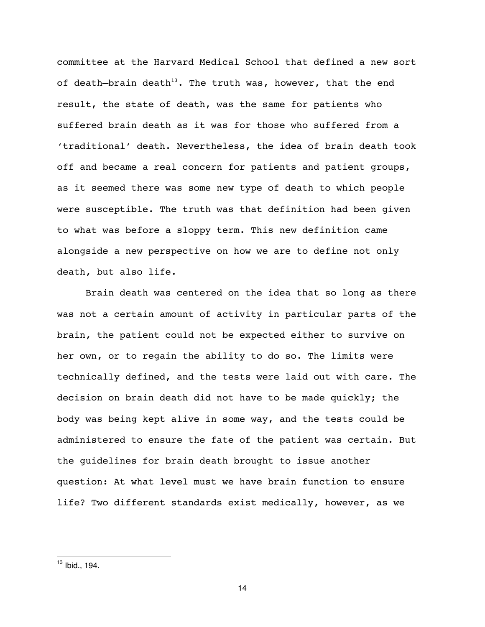committee at the Harvard Medical School that defined a new sort of death-brain death<sup>13</sup>. The truth was, however, that the end result, the state of death, was the same for patients who suffered brain death as it was for those who suffered from a 'traditional' death. Nevertheless, the idea of brain death took off and became a real concern for patients and patient groups, as it seemed there was some new type of death to which people were susceptible. The truth was that definition had been given to what was before a sloppy term. This new definition came alongside a new perspective on how we are to define not only death, but also life.

Brain death was centered on the idea that so long as there was not a certain amount of activity in particular parts of the brain, the patient could not be expected either to survive on her own, or to regain the ability to do so. The limits were technically defined, and the tests were laid out with care. The decision on brain death did not have to be made quickly; the body was being kept alive in some way, and the tests could be administered to ensure the fate of the patient was certain. But the guidelines for brain death brought to issue another question: At what level must we have brain function to ensure life? Two different standards exist medically, however, as we

 $\overline{a}$ 

 $13$  Ibid., 194.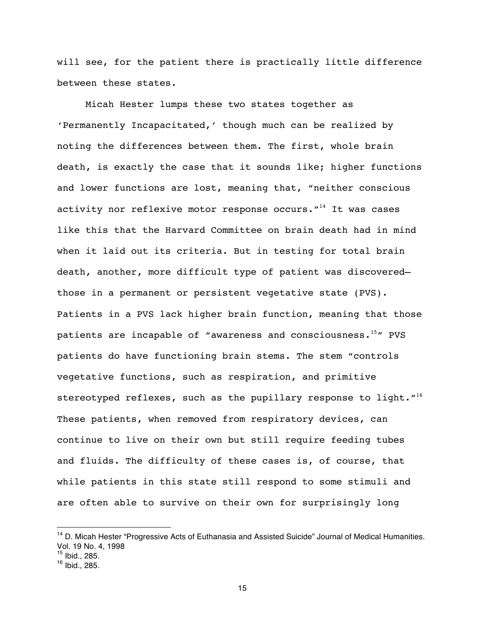will see, for the patient there is practically little difference between these states.

Micah Hester lumps these two states together as 'Permanently Incapacitated,' though much can be realized by noting the differences between them. The first, whole brain death, is exactly the case that it sounds like; higher functions and lower functions are lost, meaning that, "neither conscious activity nor reflexive motor response occurs. $"$ <sup>14</sup> It was cases like this that the Harvard Committee on brain death had in mind when it laid out its criteria. But in testing for total brain death, another, more difficult type of patient was discovered those in a permanent or persistent vegetative state (PVS). Patients in a PVS lack higher brain function, meaning that those patients are incapable of "awareness and consciousness.<sup>15</sup>" PVS patients do have functioning brain stems. The stem "controls vegetative functions, such as respiration, and primitive stereotyped reflexes, such as the pupillary response to light."<sup>16</sup> These patients, when removed from respiratory devices, can continue to live on their own but still require feeding tubes and fluids. The difficulty of these cases is, of course, that while patients in this state still respond to some stimuli and are often able to survive on their own for surprisingly long

<sup>&</sup>lt;sup>14</sup> D. Micah Hester "Progressive Acts of Euthanasia and Assisted Suicide" Journal of Medical Humanities. Vol. 19 No. 4, 1998

<sup>15</sup> Ibid., 285.

 $16$  Ibid., 285.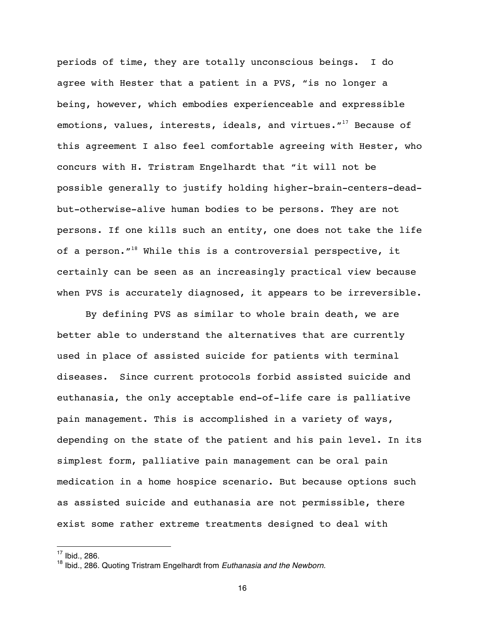periods of time, they are totally unconscious beings. I do agree with Hester that a patient in a PVS, "is no longer a being, however, which embodies experienceable and expressible emotions, values, interests, ideals, and virtues."<sup>17</sup> Because of this agreement I also feel comfortable agreeing with Hester, who concurs with H. Tristram Engelhardt that "it will not be possible generally to justify holding higher-brain-centers-deadbut-otherwise-alive human bodies to be persons. They are not persons. If one kills such an entity, one does not take the life of a person. $1^{18}$  While this is a controversial perspective, it certainly can be seen as an increasingly practical view because when PVS is accurately diagnosed, it appears to be irreversible.

By defining PVS as similar to whole brain death, we are better able to understand the alternatives that are currently used in place of assisted suicide for patients with terminal diseases. Since current protocols forbid assisted suicide and euthanasia, the only acceptable end-of-life care is palliative pain management. This is accomplished in a variety of ways, depending on the state of the patient and his pain level. In its simplest form, palliative pain management can be oral pain medication in a home hospice scenario. But because options such as assisted suicide and euthanasia are not permissible, there exist some rather extreme treatments designed to deal with

 $17$  Ibid., 286.

<sup>18</sup> Ibid., 286. Quoting Tristram Engelhardt from *Euthanasia and the Newborn.*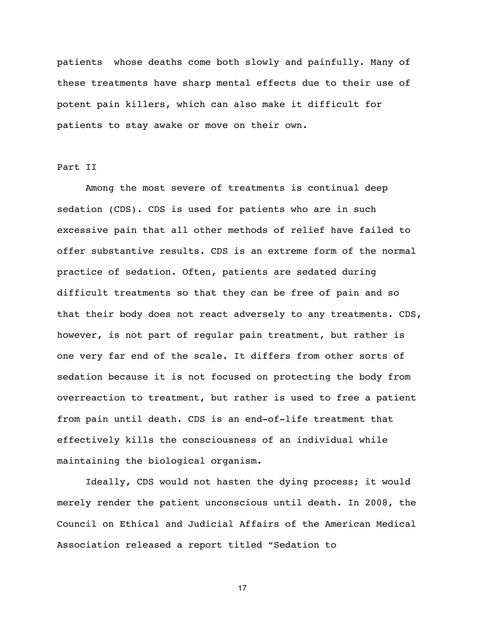patients whose deaths come both slowly and painfully. Many of these treatments have sharp mental effects due to their use of potent pain killers, which can also make it difficult for patients to stay awake or move on their own.

### Part II

Among the most severe of treatments is continual deep sedation (CDS). CDS is used for patients who are in such excessive pain that all other methods of relief have failed to offer substantive results. CDS is an extreme form of the normal practice of sedation. Often, patients are sedated during difficult treatments so that they can be free of pain and so that their body does not react adversely to any treatments. CDS, however, is not part of regular pain treatment, but rather is one very far end of the scale. It differs from other sorts of sedation because it is not focused on protecting the body from overreaction to treatment, but rather is used to free a patient from pain until death. CDS is an end-of-life treatment that effectively kills the consciousness of an individual while maintaining the biological organism.

Ideally, CDS would not hasten the dying process; it would merely render the patient unconscious until death. In 2008, the Council on Ethical and Judicial Affairs of the American Medical Association released a report titled "Sedation to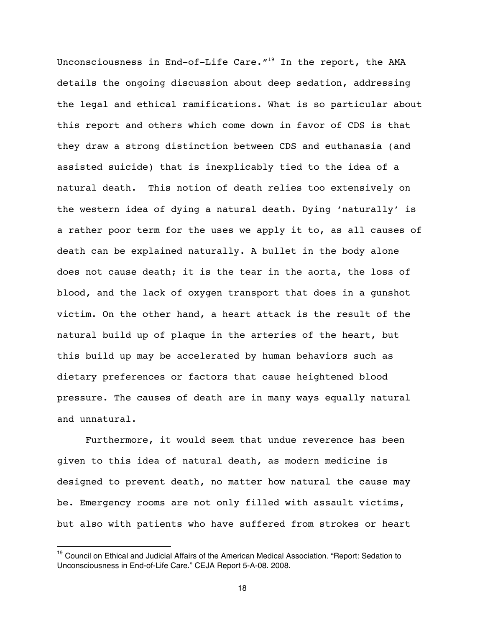Unconsciousness in End-of-Life Care. $''^{19}$  In the report, the AMA details the ongoing discussion about deep sedation, addressing the legal and ethical ramifications. What is so particular about this report and others which come down in favor of CDS is that they draw a strong distinction between CDS and euthanasia (and assisted suicide) that is inexplicably tied to the idea of a natural death. This notion of death relies too extensively on the western idea of dying a natural death. Dying 'naturally' is a rather poor term for the uses we apply it to, as all causes of death can be explained naturally. A bullet in the body alone does not cause death; it is the tear in the aorta, the loss of blood, and the lack of oxygen transport that does in a gunshot victim. On the other hand, a heart attack is the result of the natural build up of plaque in the arteries of the heart, but this build up may be accelerated by human behaviors such as dietary preferences or factors that cause heightened blood pressure. The causes of death are in many ways equally natural and unnatural.

Furthermore, it would seem that undue reverence has been given to this idea of natural death, as modern medicine is designed to prevent death, no matter how natural the cause may be. Emergency rooms are not only filled with assault victims, but also with patients who have suffered from strokes or heart

<sup>&</sup>lt;sup>19</sup> Council on Ethical and Judicial Affairs of the American Medical Association. "Report: Sedation to Unconsciousness in End-of-Life Care." CEJA Report 5-A-08. 2008.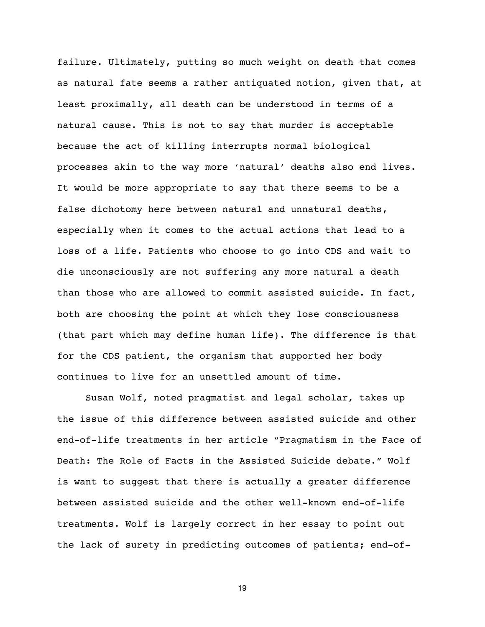failure. Ultimately, putting so much weight on death that comes as natural fate seems a rather antiquated notion, given that, at least proximally, all death can be understood in terms of a natural cause. This is not to say that murder is acceptable because the act of killing interrupts normal biological processes akin to the way more 'natural' deaths also end lives. It would be more appropriate to say that there seems to be a false dichotomy here between natural and unnatural deaths, especially when it comes to the actual actions that lead to a loss of a life. Patients who choose to go into CDS and wait to die unconsciously are not suffering any more natural a death than those who are allowed to commit assisted suicide. In fact, both are choosing the point at which they lose consciousness (that part which may define human life). The difference is that for the CDS patient, the organism that supported her body continues to live for an unsettled amount of time.

Susan Wolf, noted pragmatist and legal scholar, takes up the issue of this difference between assisted suicide and other end-of-life treatments in her article "Pragmatism in the Face of Death: The Role of Facts in the Assisted Suicide debate." Wolf is want to suggest that there is actually a greater difference between assisted suicide and the other well-known end-of-life treatments. Wolf is largely correct in her essay to point out the lack of surety in predicting outcomes of patients; end-of-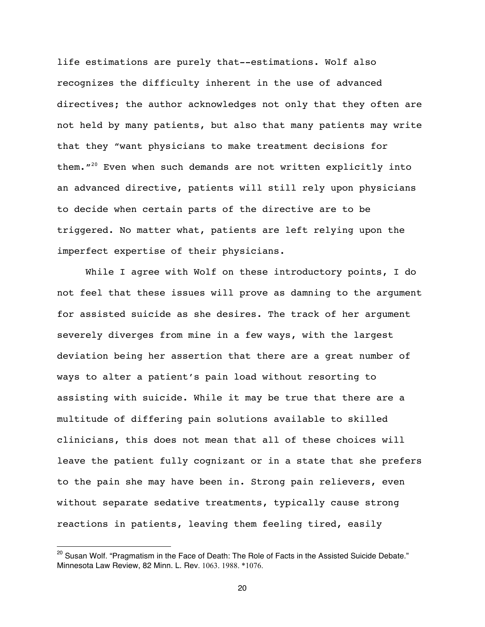life estimations are purely that--estimations. Wolf also recognizes the difficulty inherent in the use of advanced directives; the author acknowledges not only that they often are not held by many patients, but also that many patients may write that they "want physicians to make treatment decisions for them. $120$  Even when such demands are not written explicitly into an advanced directive, patients will still rely upon physicians to decide when certain parts of the directive are to be triggered. No matter what, patients are left relying upon the imperfect expertise of their physicians.

While I agree with Wolf on these introductory points, I do not feel that these issues will prove as damning to the argument for assisted suicide as she desires. The track of her argument severely diverges from mine in a few ways, with the largest deviation being her assertion that there are a great number of ways to alter a patient's pain load without resorting to assisting with suicide. While it may be true that there are a multitude of differing pain solutions available to skilled clinicians, this does not mean that all of these choices will leave the patient fully cognizant or in a state that she prefers to the pain she may have been in. Strong pain relievers, even without separate sedative treatments, typically cause strong reactions in patients, leaving them feeling tired, easily

 $^{20}$  Susan Wolf. "Pragmatism in the Face of Death: The Role of Facts in the Assisted Suicide Debate." Minnesota Law Review, 82 Minn. L. Rev. 1063. 1988. \*1076.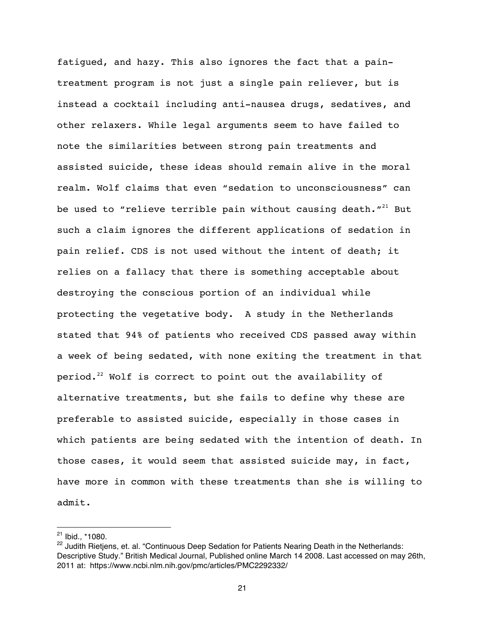fatigued, and hazy. This also ignores the fact that a paintreatment program is not just a single pain reliever, but is instead a cocktail including anti-nausea drugs, sedatives, and other relaxers. While legal arguments seem to have failed to note the similarities between strong pain treatments and assisted suicide, these ideas should remain alive in the moral realm. Wolf claims that even "sedation to unconsciousness" can be used to "relieve terrible pain without causing death. $"$ <sup>21</sup> But such a claim ignores the different applications of sedation in pain relief. CDS is not used without the intent of death; it relies on a fallacy that there is something acceptable about destroying the conscious portion of an individual while protecting the vegetative body. A study in the Netherlands stated that 94% of patients who received CDS passed away within a week of being sedated, with none exiting the treatment in that period.<sup>22</sup> Wolf is correct to point out the availability of alternative treatments, but she fails to define why these are preferable to assisted suicide, especially in those cases in which patients are being sedated with the intention of death. In those cases, it would seem that assisted suicide may, in fact, have more in common with these treatments than she is willing to admit.

 $21$  Ibid.,  $*1080$ .

<sup>&</sup>lt;sup>22</sup> Judith Rietjens, et. al. "Continuous Deep Sedation for Patients Nearing Death in the Netherlands: Descriptive Study." British Medical Journal, Published online March 14 2008. Last accessed on may 26th, 2011 at: https://www.ncbi.nlm.nih.gov/pmc/articles/PMC2292332/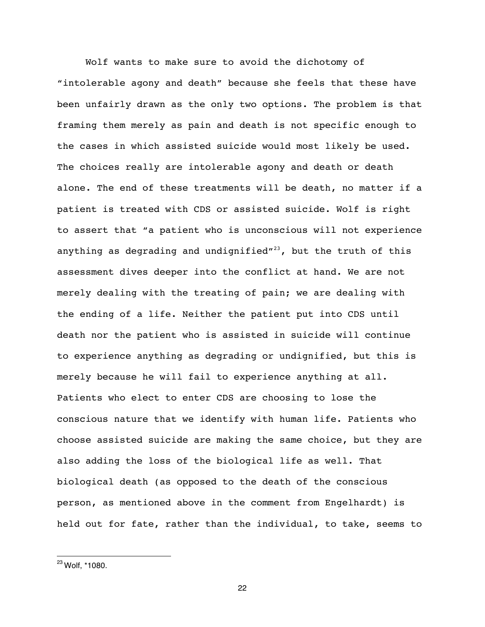Wolf wants to make sure to avoid the dichotomy of "intolerable agony and death" because she feels that these have been unfairly drawn as the only two options. The problem is that framing them merely as pain and death is not specific enough to the cases in which assisted suicide would most likely be used. The choices really are intolerable agony and death or death alone. The end of these treatments will be death, no matter if a patient is treated with CDS or assisted suicide. Wolf is right to assert that "a patient who is unconscious will not experience anything as degrading and undignified"<sup>23</sup>, but the truth of this assessment dives deeper into the conflict at hand. We are not merely dealing with the treating of pain; we are dealing with the ending of a life. Neither the patient put into CDS until death nor the patient who is assisted in suicide will continue to experience anything as degrading or undignified, but this is merely because he will fail to experience anything at all. Patients who elect to enter CDS are choosing to lose the conscious nature that we identify with human life. Patients who choose assisted suicide are making the same choice, but they are also adding the loss of the biological life as well. That biological death (as opposed to the death of the conscious person, as mentioned above in the comment from Engelhardt) is held out for fate, rather than the individual, to take, seems to

 $\overline{a}$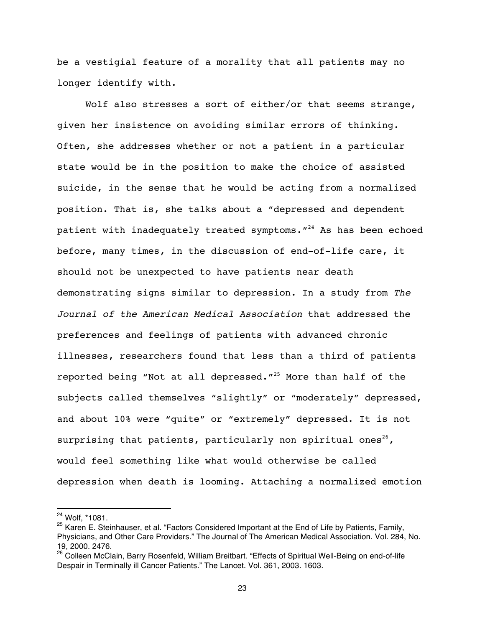be a vestigial feature of a morality that all patients may no longer identify with.

Wolf also stresses a sort of either/or that seems strange, given her insistence on avoiding similar errors of thinking. Often, she addresses whether or not a patient in a particular state would be in the position to make the choice of assisted suicide, in the sense that he would be acting from a normalized position. That is, she talks about a "depressed and dependent patient with inadequately treated symptoms. $1^{24}$  As has been echoed before, many times, in the discussion of end-of-life care, it should not be unexpected to have patients near death demonstrating signs similar to depression. In a study from *The Journal of the American Medical Association* that addressed the preferences and feelings of patients with advanced chronic illnesses, researchers found that less than a third of patients reported being "Not at all depressed."25 More than half of the subjects called themselves "slightly" or "moderately" depressed, and about 10% were "quite" or "extremely" depressed. It is not surprising that patients, particularly non spiritual ones<sup>26</sup>, would feel something like what would otherwise be called depression when death is looming. Attaching a normalized emotion

<sup>24</sup> Wolf, \*1081.

<sup>&</sup>lt;sup>25</sup> Karen E. Steinhauser, et al. "Factors Considered Important at the End of Life by Patients, Family, Physicians, and Other Care Providers." The Journal of The American Medical Association. Vol. 284, No. 19, 2000. 2476.

<sup>&</sup>lt;sup>26</sup> Colleen McClain, Barry Rosenfeld, William Breitbart. "Effects of Spiritual Well-Being on end-of-life Despair in Terminally ill Cancer Patients." The Lancet. Vol. 361, 2003. 1603.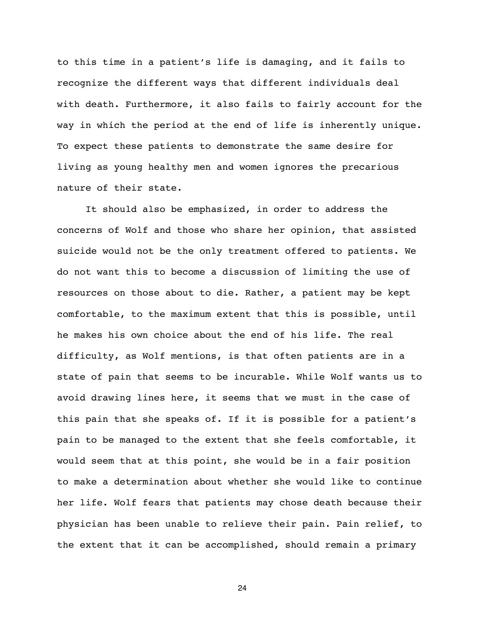to this time in a patient's life is damaging, and it fails to recognize the different ways that different individuals deal with death. Furthermore, it also fails to fairly account for the way in which the period at the end of life is inherently unique. To expect these patients to demonstrate the same desire for living as young healthy men and women ignores the precarious nature of their state.

It should also be emphasized, in order to address the concerns of Wolf and those who share her opinion, that assisted suicide would not be the only treatment offered to patients. We do not want this to become a discussion of limiting the use of resources on those about to die. Rather, a patient may be kept comfortable, to the maximum extent that this is possible, until he makes his own choice about the end of his life. The real difficulty, as Wolf mentions, is that often patients are in a state of pain that seems to be incurable. While Wolf wants us to avoid drawing lines here, it seems that we must in the case of this pain that she speaks of. If it is possible for a patient's pain to be managed to the extent that she feels comfortable, it would seem that at this point, she would be in a fair position to make a determination about whether she would like to continue her life. Wolf fears that patients may chose death because their physician has been unable to relieve their pain. Pain relief, to the extent that it can be accomplished, should remain a primary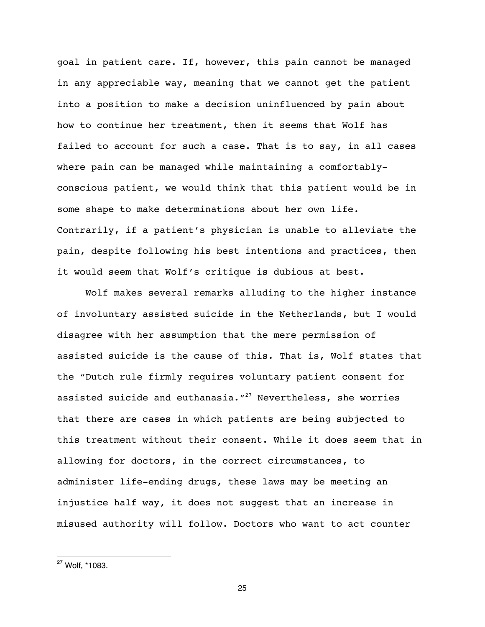goal in patient care. If, however, this pain cannot be managed in any appreciable way, meaning that we cannot get the patient into a position to make a decision uninfluenced by pain about how to continue her treatment, then it seems that Wolf has failed to account for such a case. That is to say, in all cases where pain can be managed while maintaining a comfortablyconscious patient, we would think that this patient would be in some shape to make determinations about her own life. Contrarily, if a patient's physician is unable to alleviate the pain, despite following his best intentions and practices, then it would seem that Wolf's critique is dubious at best.

Wolf makes several remarks alluding to the higher instance of involuntary assisted suicide in the Netherlands, but I would disagree with her assumption that the mere permission of assisted suicide is the cause of this. That is, Wolf states that the "Dutch rule firmly requires voluntary patient consent for assisted suicide and euthanasia. $127$  Nevertheless, she worries that there are cases in which patients are being subjected to this treatment without their consent. While it does seem that in allowing for doctors, in the correct circumstances, to administer life-ending drugs, these laws may be meeting an injustice half way, it does not suggest that an increase in misused authority will follow. Doctors who want to act counter

 $\overline{a}$ 

<sup>27</sup> Wolf, \*1083.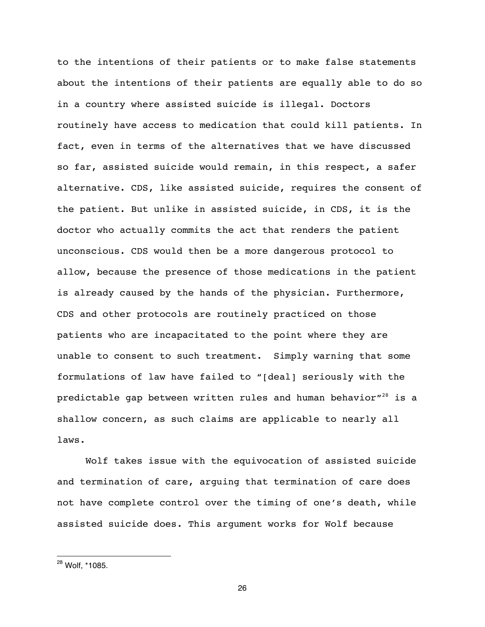to the intentions of their patients or to make false statements about the intentions of their patients are equally able to do so in a country where assisted suicide is illegal. Doctors routinely have access to medication that could kill patients. In fact, even in terms of the alternatives that we have discussed so far, assisted suicide would remain, in this respect, a safer alternative. CDS, like assisted suicide, requires the consent of the patient. But unlike in assisted suicide, in CDS, it is the doctor who actually commits the act that renders the patient unconscious. CDS would then be a more dangerous protocol to allow, because the presence of those medications in the patient is already caused by the hands of the physician. Furthermore, CDS and other protocols are routinely practiced on those patients who are incapacitated to the point where they are unable to consent to such treatment. Simply warning that some formulations of law have failed to "[deal] seriously with the predictable gap between written rules and human behavior"<sup>28</sup> is a shallow concern, as such claims are applicable to nearly all laws.

Wolf takes issue with the equivocation of assisted suicide and termination of care, arguing that termination of care does not have complete control over the timing of one's death, while assisted suicide does. This argument works for Wolf because

 $^{28}$  Wolf,  $*$ 1085.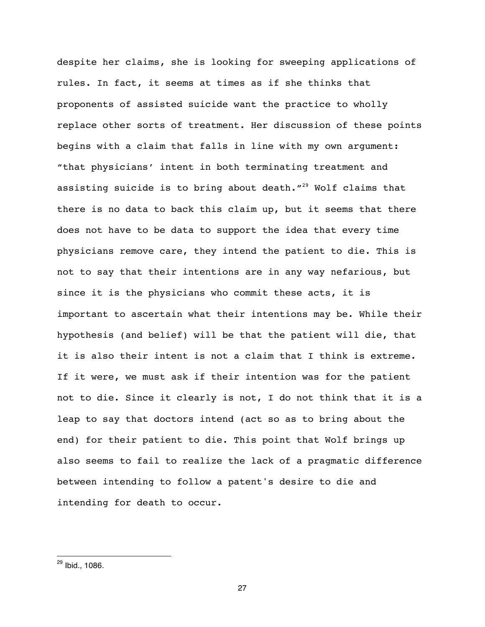despite her claims, she is looking for sweeping applications of rules. In fact, it seems at times as if she thinks that proponents of assisted suicide want the practice to wholly replace other sorts of treatment. Her discussion of these points begins with a claim that falls in line with my own argument: "that physicians' intent in both terminating treatment and assisting suicide is to bring about death."<sup>29</sup> Wolf claims that there is no data to back this claim up, but it seems that there does not have to be data to support the idea that every time physicians remove care, they intend the patient to die. This is not to say that their intentions are in any way nefarious, but since it is the physicians who commit these acts, it is important to ascertain what their intentions may be. While their hypothesis (and belief) will be that the patient will die, that it is also their intent is not a claim that I think is extreme. If it were, we must ask if their intention was for the patient not to die. Since it clearly is not, I do not think that it is a leap to say that doctors intend (act so as to bring about the end) for their patient to die. This point that Wolf brings up also seems to fail to realize the lack of a pragmatic difference between intending to follow a patent's desire to die and intending for death to occur.

 $\overline{a}$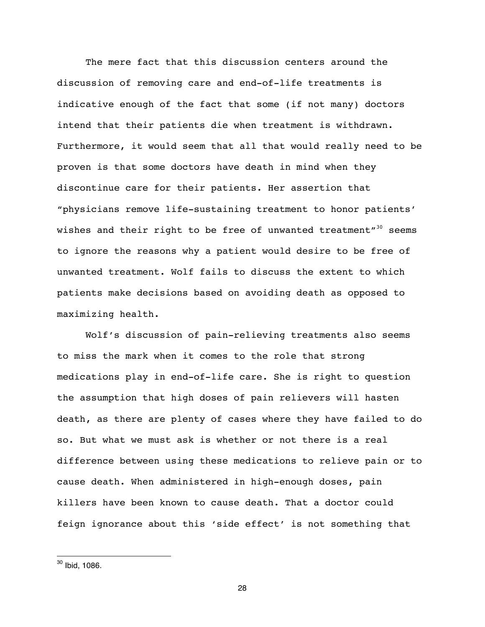The mere fact that this discussion centers around the discussion of removing care and end-of-life treatments is indicative enough of the fact that some (if not many) doctors intend that their patients die when treatment is withdrawn. Furthermore, it would seem that all that would really need to be proven is that some doctors have death in mind when they discontinue care for their patients. Her assertion that "physicians remove life-sustaining treatment to honor patients' wishes and their right to be free of unwanted treatment" $30$  seems to ignore the reasons why a patient would desire to be free of unwanted treatment. Wolf fails to discuss the extent to which patients make decisions based on avoiding death as opposed to maximizing health.

Wolf's discussion of pain-relieving treatments also seems to miss the mark when it comes to the role that strong medications play in end-of-life care. She is right to question the assumption that high doses of pain relievers will hasten death, as there are plenty of cases where they have failed to do so. But what we must ask is whether or not there is a real difference between using these medications to relieve pain or to cause death. When administered in high-enough doses, pain killers have been known to cause death. That a doctor could feign ignorance about this 'side effect' is not something that

 $\overline{a}$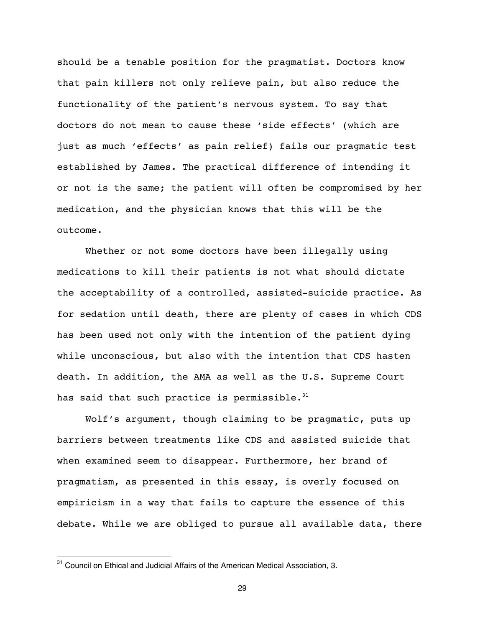should be a tenable position for the pragmatist. Doctors know that pain killers not only relieve pain, but also reduce the functionality of the patient's nervous system. To say that doctors do not mean to cause these 'side effects' (which are just as much 'effects' as pain relief) fails our pragmatic test established by James. The practical difference of intending it or not is the same; the patient will often be compromised by her medication, and the physician knows that this will be the outcome.

Whether or not some doctors have been illegally using medications to kill their patients is not what should dictate the acceptability of a controlled, assisted-suicide practice. As for sedation until death, there are plenty of cases in which CDS has been used not only with the intention of the patient dying while unconscious, but also with the intention that CDS hasten death. In addition, the AMA as well as the U.S. Supreme Court has said that such practice is permissible. $31$ 

Wolf's argument, though claiming to be pragmatic, puts up barriers between treatments like CDS and assisted suicide that when examined seem to disappear. Furthermore, her brand of pragmatism, as presented in this essay, is overly focused on empiricism in a way that fails to capture the essence of this debate. While we are obliged to pursue all available data, there

<sup>&</sup>lt;sup>31</sup> Council on Ethical and Judicial Affairs of the American Medical Association, 3.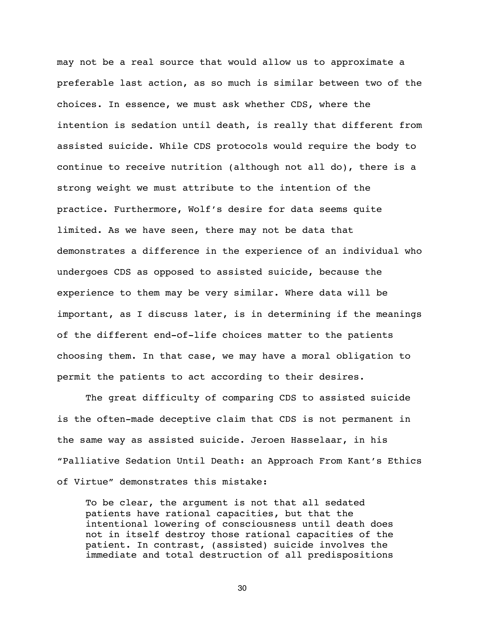may not be a real source that would allow us to approximate a preferable last action, as so much is similar between two of the choices. In essence, we must ask whether CDS, where the intention is sedation until death, is really that different from assisted suicide. While CDS protocols would require the body to continue to receive nutrition (although not all do), there is a strong weight we must attribute to the intention of the practice. Furthermore, Wolf's desire for data seems quite limited. As we have seen, there may not be data that demonstrates a difference in the experience of an individual who undergoes CDS as opposed to assisted suicide, because the experience to them may be very similar. Where data will be important, as I discuss later, is in determining if the meanings of the different end-of-life choices matter to the patients choosing them. In that case, we may have a moral obligation to permit the patients to act according to their desires.

The great difficulty of comparing CDS to assisted suicide is the often-made deceptive claim that CDS is not permanent in the same way as assisted suicide. Jeroen Hasselaar, in his "Palliative Sedation Until Death: an Approach From Kant's Ethics of Virtue" demonstrates this mistake:

To be clear, the argument is not that all sedated patients have rational capacities, but that the intentional lowering of consciousness until death does not in itself destroy those rational capacities of the patient. In contrast, (assisted) suicide involves the immediate and total destruction of all predispositions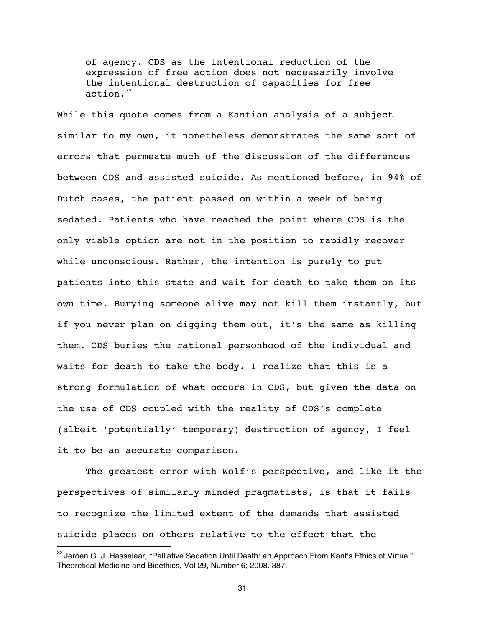of agency. CDS as the intentional reduction of the expression of free action does not necessarily involve the intentional destruction of capacities for free  $action.<sup>32</sup>$ 

While this quote comes from a Kantian analysis of a subject similar to my own, it nonetheless demonstrates the same sort of errors that permeate much of the discussion of the differences between CDS and assisted suicide. As mentioned before, in 94% of Dutch cases, the patient passed on within a week of being sedated. Patients who have reached the point where CDS is the only viable option are not in the position to rapidly recover while unconscious. Rather, the intention is purely to put patients into this state and wait for death to take them on its own time. Burying someone alive may not kill them instantly, but if you never plan on digging them out, it's the same as killing them. CDS buries the rational personhood of the individual and waits for death to take the body. I realize that this is a strong formulation of what occurs in CDS, but given the data on the use of CDS coupled with the reality of CDS's complete (albeit 'potentially' temporary) destruction of agency, I feel it to be an accurate comparison.

The greatest error with Wolf's perspective, and like it the perspectives of similarly minded pragmatists, is that it fails to recognize the limited extent of the demands that assisted suicide places on others relative to the effect that the

 $32$  Jeroen G. J. Hasselaar, "Palliative Sedation Until Death: an Approach From Kant's Ethics of Virtue." Theoretical Medicine and Bioethics, Vol 29, Number 6; 2008. 387.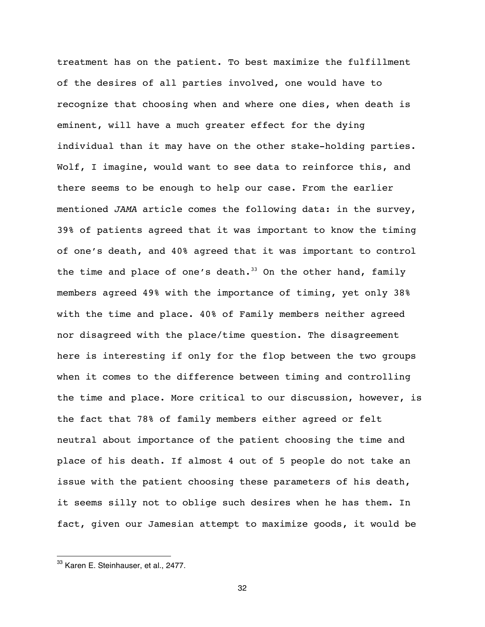treatment has on the patient. To best maximize the fulfillment of the desires of all parties involved, one would have to recognize that choosing when and where one dies, when death is eminent, will have a much greater effect for the dying individual than it may have on the other stake-holding parties. Wolf, I imagine, would want to see data to reinforce this, and there seems to be enough to help our case. From the earlier mentioned *JAMA* article comes the following data: in the survey, 39% of patients agreed that it was important to know the timing of one's death, and 40% agreed that it was important to control the time and place of one's death. $33$  On the other hand, family members agreed 49% with the importance of timing, yet only 38% with the time and place. 40% of Family members neither agreed nor disagreed with the place/time question. The disagreement here is interesting if only for the flop between the two groups when it comes to the difference between timing and controlling the time and place. More critical to our discussion, however, is the fact that 78% of family members either agreed or felt neutral about importance of the patient choosing the time and place of his death. If almost 4 out of 5 people do not take an issue with the patient choosing these parameters of his death, it seems silly not to oblige such desires when he has them. In fact, given our Jamesian attempt to maximize goods, it would be

 $\overline{a}$ 

<sup>&</sup>lt;sup>33</sup> Karen E. Steinhauser, et al., 2477.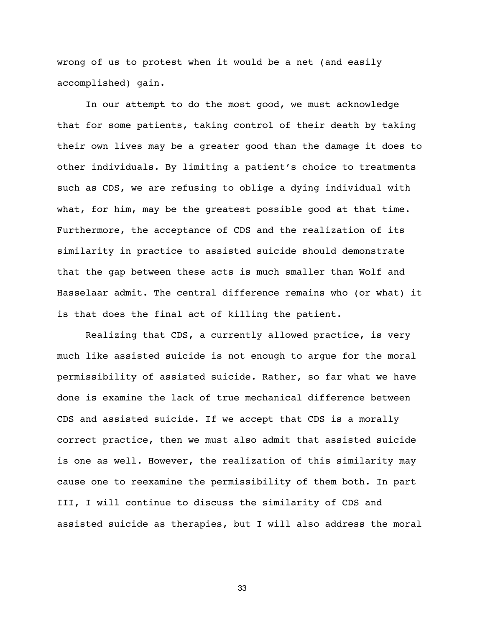wrong of us to protest when it would be a net (and easily accomplished) gain.

In our attempt to do the most good, we must acknowledge that for some patients, taking control of their death by taking their own lives may be a greater good than the damage it does to other individuals. By limiting a patient's choice to treatments such as CDS, we are refusing to oblige a dying individual with what, for him, may be the greatest possible good at that time. Furthermore, the acceptance of CDS and the realization of its similarity in practice to assisted suicide should demonstrate that the gap between these acts is much smaller than Wolf and Hasselaar admit. The central difference remains who (or what) it is that does the final act of killing the patient.

Realizing that CDS, a currently allowed practice, is very much like assisted suicide is not enough to argue for the moral permissibility of assisted suicide. Rather, so far what we have done is examine the lack of true mechanical difference between CDS and assisted suicide. If we accept that CDS is a morally correct practice, then we must also admit that assisted suicide is one as well. However, the realization of this similarity may cause one to reexamine the permissibility of them both. In part III, I will continue to discuss the similarity of CDS and assisted suicide as therapies, but I will also address the moral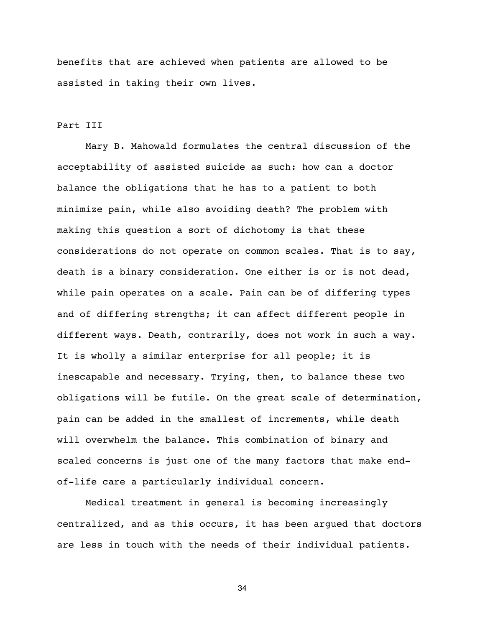benefits that are achieved when patients are allowed to be assisted in taking their own lives.

#### Part III

Mary B. Mahowald formulates the central discussion of the acceptability of assisted suicide as such: how can a doctor balance the obligations that he has to a patient to both minimize pain, while also avoiding death? The problem with making this question a sort of dichotomy is that these considerations do not operate on common scales. That is to say, death is a binary consideration. One either is or is not dead, while pain operates on a scale. Pain can be of differing types and of differing strengths; it can affect different people in different ways. Death, contrarily, does not work in such a way. It is wholly a similar enterprise for all people; it is inescapable and necessary. Trying, then, to balance these two obligations will be futile. On the great scale of determination, pain can be added in the smallest of increments, while death will overwhelm the balance. This combination of binary and scaled concerns is just one of the many factors that make endof-life care a particularly individual concern.

Medical treatment in general is becoming increasingly centralized, and as this occurs, it has been argued that doctors are less in touch with the needs of their individual patients.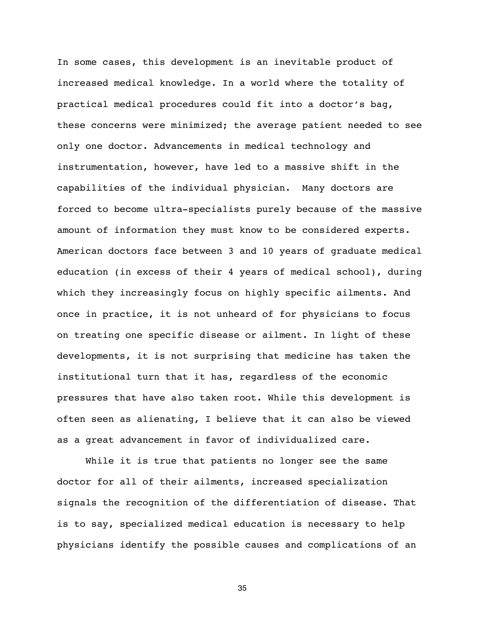In some cases, this development is an inevitable product of increased medical knowledge. In a world where the totality of practical medical procedures could fit into a doctor's bag, these concerns were minimized; the average patient needed to see only one doctor. Advancements in medical technology and instrumentation, however, have led to a massive shift in the capabilities of the individual physician. Many doctors are forced to become ultra-specialists purely because of the massive amount of information they must know to be considered experts. American doctors face between 3 and 10 years of graduate medical education (in excess of their 4 years of medical school), during which they increasingly focus on highly specific ailments. And once in practice, it is not unheard of for physicians to focus on treating one specific disease or ailment. In light of these developments, it is not surprising that medicine has taken the institutional turn that it has, regardless of the economic pressures that have also taken root. While this development is often seen as alienating, I believe that it can also be viewed as a great advancement in favor of individualized care.

While it is true that patients no longer see the same doctor for all of their ailments, increased specialization signals the recognition of the differentiation of disease. That is to say, specialized medical education is necessary to help physicians identify the possible causes and complications of an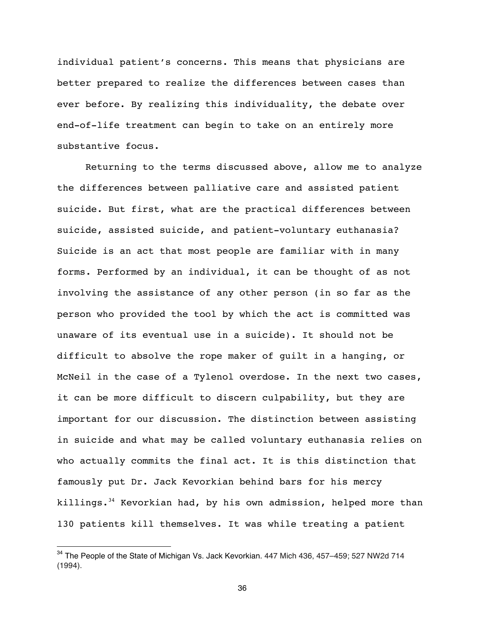individual patient's concerns. This means that physicians are better prepared to realize the differences between cases than ever before. By realizing this individuality, the debate over end-of-life treatment can begin to take on an entirely more substantive focus.

Returning to the terms discussed above, allow me to analyze the differences between palliative care and assisted patient suicide. But first, what are the practical differences between suicide, assisted suicide, and patient-voluntary euthanasia? Suicide is an act that most people are familiar with in many forms. Performed by an individual, it can be thought of as not involving the assistance of any other person (in so far as the person who provided the tool by which the act is committed was unaware of its eventual use in a suicide). It should not be difficult to absolve the rope maker of guilt in a hanging, or McNeil in the case of a Tylenol overdose. In the next two cases, it can be more difficult to discern culpability, but they are important for our discussion. The distinction between assisting in suicide and what may be called voluntary euthanasia relies on who actually commits the final act. It is this distinction that famously put Dr. Jack Kevorkian behind bars for his mercy killings. $34$  Kevorkian had, by his own admission, helped more than 130 patients kill themselves. It was while treating a patient

 $\overline{a}$ 

<sup>&</sup>lt;sup>34</sup> The People of the State of Michigan Vs. Jack Kevorkian. 447 Mich 436, 457–459; 527 NW2d 714 (1994).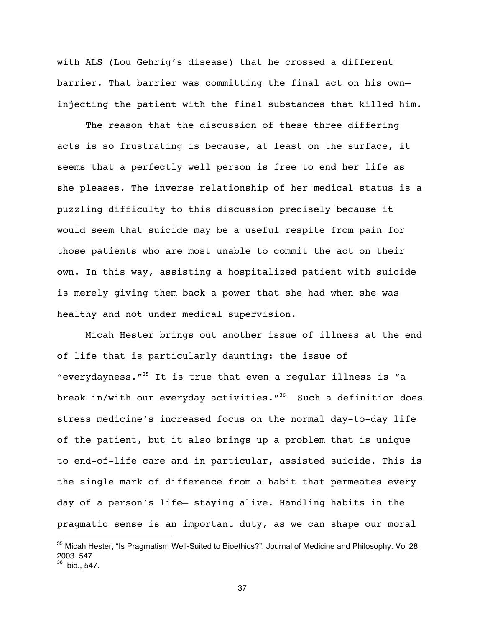with ALS (Lou Gehrig's disease) that he crossed a different barrier. That barrier was committing the final act on his own injecting the patient with the final substances that killed him.

The reason that the discussion of these three differing acts is so frustrating is because, at least on the surface, it seems that a perfectly well person is free to end her life as she pleases. The inverse relationship of her medical status is a puzzling difficulty to this discussion precisely because it would seem that suicide may be a useful respite from pain for those patients who are most unable to commit the act on their own. In this way, assisting a hospitalized patient with suicide is merely giving them back a power that she had when she was healthy and not under medical supervision.

Micah Hester brings out another issue of illness at the end of life that is particularly daunting: the issue of "everydayness. $135$  It is true that even a regular illness is "a break in/with our everyday activities. $1^{36}$  Such a definition does stress medicine's increased focus on the normal day-to-day life of the patient, but it also brings up a problem that is unique to end-of-life care and in particular, assisted suicide. This is the single mark of difference from a habit that permeates every day of a person's life— staying alive. Handling habits in the pragmatic sense is an important duty, as we can shape our moral

 $\overline{a}$ 

<sup>&</sup>lt;sup>35</sup> Micah Hester, "Is Pragmatism Well-Suited to Bioethics?". Journal of Medicine and Philosophy. Vol 28, 2003. 547.

 $36$  Ibid., 547.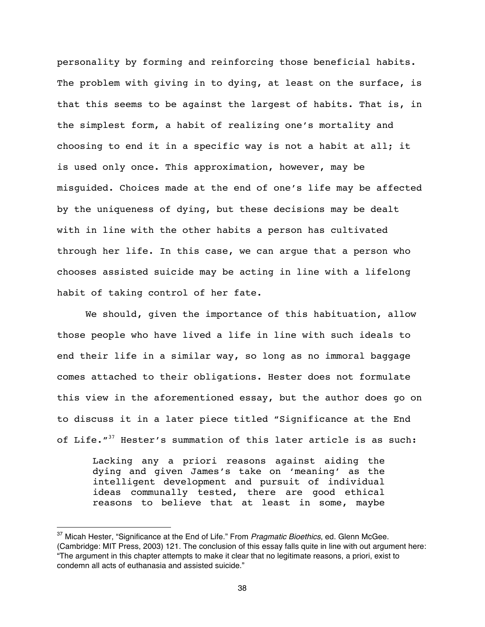personality by forming and reinforcing those beneficial habits. The problem with giving in to dying, at least on the surface, is that this seems to be against the largest of habits. That is, in the simplest form, a habit of realizing one's mortality and choosing to end it in a specific way is not a habit at all; it is used only once. This approximation, however, may be misguided. Choices made at the end of one's life may be affected by the uniqueness of dying, but these decisions may be dealt with in line with the other habits a person has cultivated through her life. In this case, we can argue that a person who chooses assisted suicide may be acting in line with a lifelong habit of taking control of her fate.

We should, given the importance of this habituation, allow those people who have lived a life in line with such ideals to end their life in a similar way, so long as no immoral baggage comes attached to their obligations. Hester does not formulate this view in the aforementioned essay, but the author does go on to discuss it in a later piece titled "Significance at the End of Life."<sup>37</sup> Hester's summation of this later article is as such:

Lacking any a priori reasons against aiding the dying and given James's take on 'meaning' as the intelligent development and pursuit of individual ideas communally tested, there are good ethical reasons to believe that at least in some, maybe

<sup>37</sup> Micah Hester, "Significance at the End of Life." From *Pragmatic Bioethics*, ed. Glenn McGee. (Cambridge: MIT Press, 2003) 121. The conclusion of this essay falls quite in line with out argument here: "The argument in this chapter attempts to make it clear that no legitimate reasons, a priori, exist to condemn all acts of euthanasia and assisted suicide."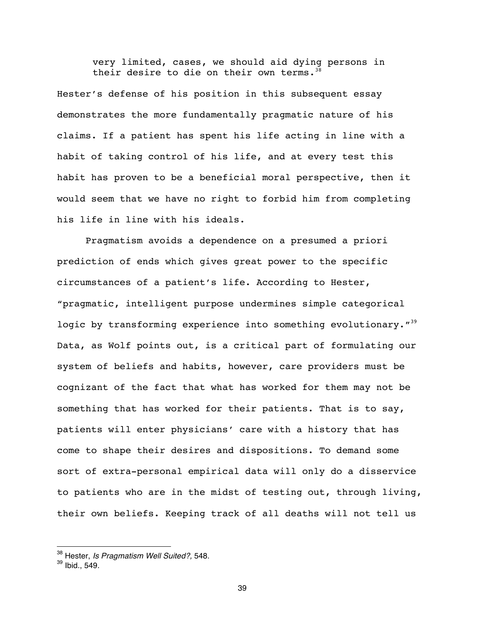very limited, cases, we should aid dying persons in their desire to die on their own terms. $38$ 

Hester's defense of his position in this subsequent essay demonstrates the more fundamentally pragmatic nature of his claims. If a patient has spent his life acting in line with a habit of taking control of his life, and at every test this habit has proven to be a beneficial moral perspective, then it would seem that we have no right to forbid him from completing his life in line with his ideals.

Pragmatism avoids a dependence on a presumed a priori prediction of ends which gives great power to the specific circumstances of a patient's life. According to Hester, "pragmatic, intelligent purpose undermines simple categorical logic by transforming experience into something evolutionary. $139$ Data, as Wolf points out, is a critical part of formulating our system of beliefs and habits, however, care providers must be cognizant of the fact that what has worked for them may not be something that has worked for their patients. That is to say, patients will enter physicians' care with a history that has come to shape their desires and dispositions. To demand some sort of extra-personal empirical data will only do a disservice to patients who are in the midst of testing out, through living, their own beliefs. Keeping track of all deaths will not tell us

<sup>38</sup> Hester, *Is Pragmatism Well Suited?,* 548.

 $39$  Ibid., 549.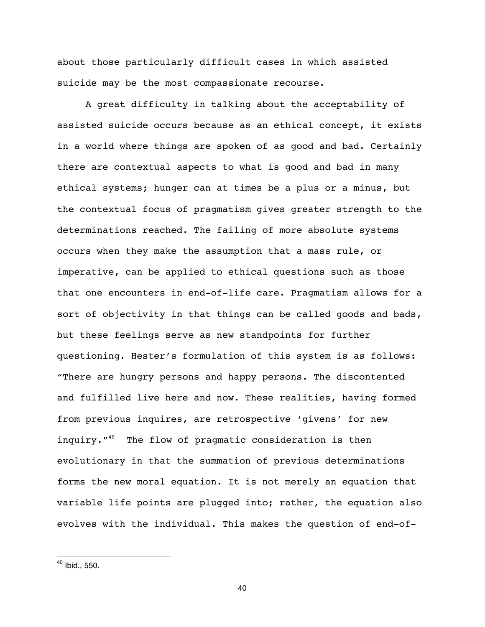about those particularly difficult cases in which assisted suicide may be the most compassionate recourse.

A great difficulty in talking about the acceptability of assisted suicide occurs because as an ethical concept, it exists in a world where things are spoken of as good and bad. Certainly there are contextual aspects to what is good and bad in many ethical systems; hunger can at times be a plus or a minus, but the contextual focus of pragmatism gives greater strength to the determinations reached. The failing of more absolute systems occurs when they make the assumption that a mass rule, or imperative, can be applied to ethical questions such as those that one encounters in end-of-life care. Pragmatism allows for a sort of objectivity in that things can be called goods and bads, but these feelings serve as new standpoints for further questioning. Hester's formulation of this system is as follows: "There are hungry persons and happy persons. The discontented and fulfilled live here and now. These realities, having formed from previous inquires, are retrospective 'givens' for new inquiry."<sup>40</sup> The flow of pragmatic consideration is then evolutionary in that the summation of previous determinations forms the new moral equation. It is not merely an equation that variable life points are plugged into; rather, the equation also evolves with the individual. This makes the question of end-of-

 $\overline{a}$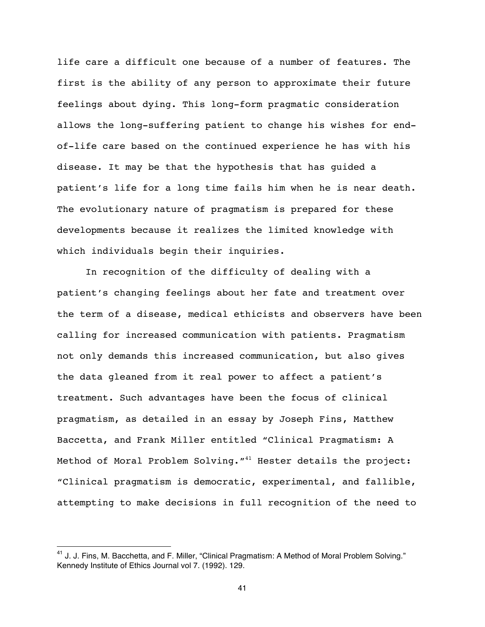life care a difficult one because of a number of features. The first is the ability of any person to approximate their future feelings about dying. This long-form pragmatic consideration allows the long-suffering patient to change his wishes for endof-life care based on the continued experience he has with his disease. It may be that the hypothesis that has guided a patient's life for a long time fails him when he is near death. The evolutionary nature of pragmatism is prepared for these developments because it realizes the limited knowledge with which individuals begin their inquiries.

In recognition of the difficulty of dealing with a patient's changing feelings about her fate and treatment over the term of a disease, medical ethicists and observers have been calling for increased communication with patients. Pragmatism not only demands this increased communication, but also gives the data gleaned from it real power to affect a patient's treatment. Such advantages have been the focus of clinical pragmatism, as detailed in an essay by Joseph Fins, Matthew Baccetta, and Frank Miller entitled "Clinical Pragmatism: A Method of Moral Problem Solving. "<sup>41</sup> Hester details the project: "Clinical pragmatism is democratic, experimental, and fallible, attempting to make decisions in full recognition of the need to

 $41$  J. J. Fins, M. Bacchetta, and F. Miller, "Clinical Pragmatism: A Method of Moral Problem Solving." Kennedy Institute of Ethics Journal vol 7. (1992). 129.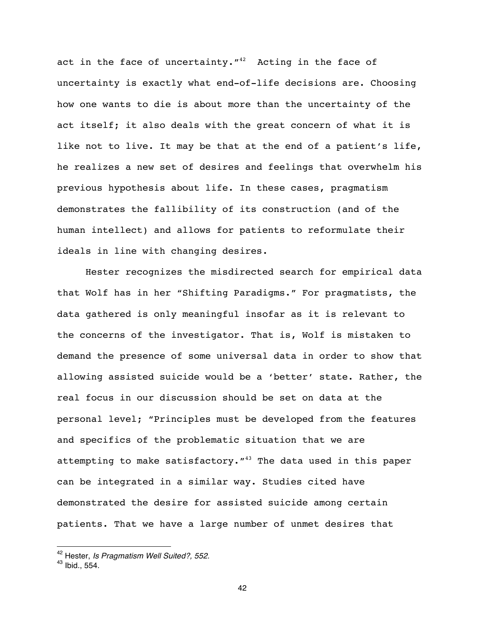act in the face of uncertainty. $14^2$  Acting in the face of uncertainty is exactly what end-of-life decisions are. Choosing how one wants to die is about more than the uncertainty of the act itself; it also deals with the great concern of what it is like not to live. It may be that at the end of a patient's life, he realizes a new set of desires and feelings that overwhelm his previous hypothesis about life. In these cases, pragmatism demonstrates the fallibility of its construction (and of the human intellect) and allows for patients to reformulate their ideals in line with changing desires.

Hester recognizes the misdirected search for empirical data that Wolf has in her "Shifting Paradigms." For pragmatists, the data gathered is only meaningful insofar as it is relevant to the concerns of the investigator. That is, Wolf is mistaken to demand the presence of some universal data in order to show that allowing assisted suicide would be a 'better' state. Rather, the real focus in our discussion should be set on data at the personal level; "Principles must be developed from the features and specifics of the problematic situation that we are attempting to make satisfactory.  $143$  The data used in this paper can be integrated in a similar way. Studies cited have demonstrated the desire for assisted suicide among certain patients. That we have a large number of unmet desires that

<sup>42</sup> Hester, *Is Pragmatism Well Suited?, 552.* 

 $43$  Ibid., 554.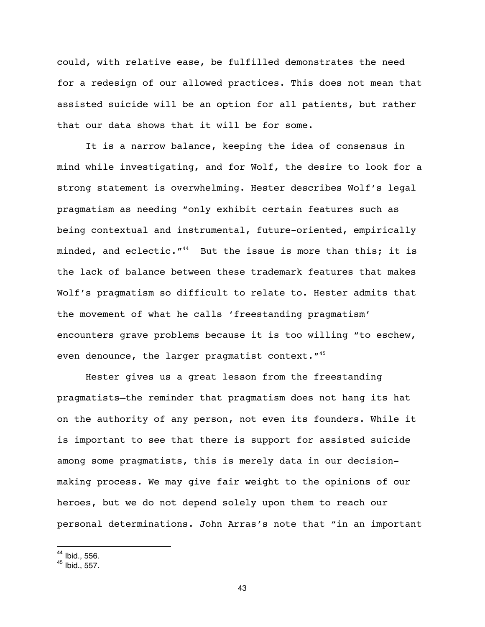could, with relative ease, be fulfilled demonstrates the need for a redesign of our allowed practices. This does not mean that assisted suicide will be an option for all patients, but rather that our data shows that it will be for some.

It is a narrow balance, keeping the idea of consensus in mind while investigating, and for Wolf, the desire to look for a strong statement is overwhelming. Hester describes Wolf's legal pragmatism as needing "only exhibit certain features such as being contextual and instrumental, future-oriented, empirically minded, and eclectic.  $''^{44}$  But the issue is more than this; it is the lack of balance between these trademark features that makes Wolf's pragmatism so difficult to relate to. Hester admits that the movement of what he calls 'freestanding pragmatism' encounters grave problems because it is too willing "to eschew, even denounce, the larger pragmatist context. "<sup>45</sup>

Hester gives us a great lesson from the freestanding pragmatists—the reminder that pragmatism does not hang its hat on the authority of any person, not even its founders. While it is important to see that there is support for assisted suicide among some pragmatists, this is merely data in our decisionmaking process. We may give fair weight to the opinions of our heroes, but we do not depend solely upon them to reach our personal determinations. John Arras's note that "in an important

 $44$  Ibid., 556.

 $45$  Ibid., 557.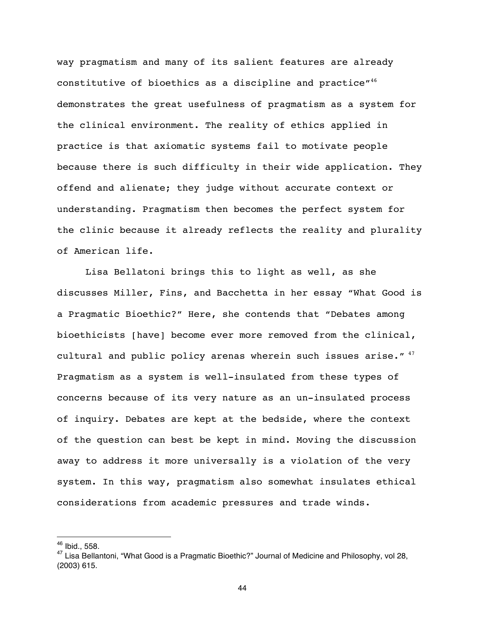way pragmatism and many of its salient features are already constitutive of bioethics as a discipline and practice"<sup>46</sup> demonstrates the great usefulness of pragmatism as a system for the clinical environment. The reality of ethics applied in practice is that axiomatic systems fail to motivate people because there is such difficulty in their wide application. They offend and alienate; they judge without accurate context or understanding. Pragmatism then becomes the perfect system for the clinic because it already reflects the reality and plurality of American life.

Lisa Bellatoni brings this to light as well, as she discusses Miller, Fins, and Bacchetta in her essay "What Good is a Pragmatic Bioethic?" Here, she contends that "Debates among bioethicists [have] become ever more removed from the clinical, cultural and public policy arenas wherein such issues arise." $47$ Pragmatism as a system is well-insulated from these types of concerns because of its very nature as an un-insulated process of inquiry. Debates are kept at the bedside, where the context of the question can best be kept in mind. Moving the discussion away to address it more universally is a violation of the very system. In this way, pragmatism also somewhat insulates ethical considerations from academic pressures and trade winds.

 $\overline{a}$ 

 $46$  Ibid., 558.

<sup>&</sup>lt;sup>47</sup> Lisa Bellantoni, "What Good is a Pragmatic Bioethic?" Journal of Medicine and Philosophy, vol 28, (2003) 615.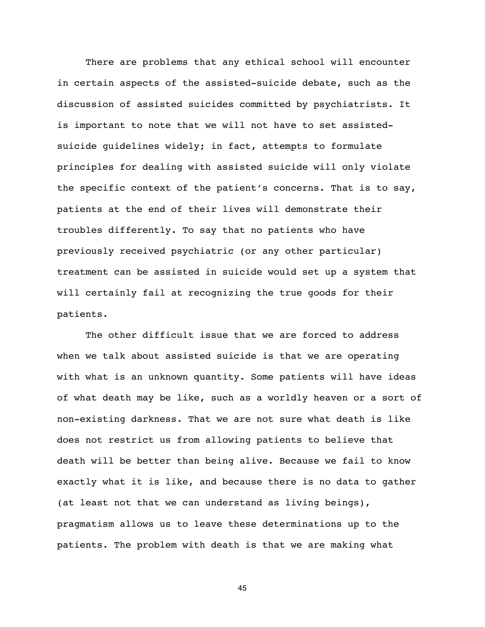There are problems that any ethical school will encounter in certain aspects of the assisted-suicide debate, such as the discussion of assisted suicides committed by psychiatrists. It is important to note that we will not have to set assistedsuicide guidelines widely; in fact, attempts to formulate principles for dealing with assisted suicide will only violate the specific context of the patient's concerns. That is to say, patients at the end of their lives will demonstrate their troubles differently. To say that no patients who have previously received psychiatric (or any other particular) treatment can be assisted in suicide would set up a system that will certainly fail at recognizing the true goods for their patients.

The other difficult issue that we are forced to address when we talk about assisted suicide is that we are operating with what is an unknown quantity. Some patients will have ideas of what death may be like, such as a worldly heaven or a sort of non-existing darkness. That we are not sure what death is like does not restrict us from allowing patients to believe that death will be better than being alive. Because we fail to know exactly what it is like, and because there is no data to gather (at least not that we can understand as living beings), pragmatism allows us to leave these determinations up to the patients. The problem with death is that we are making what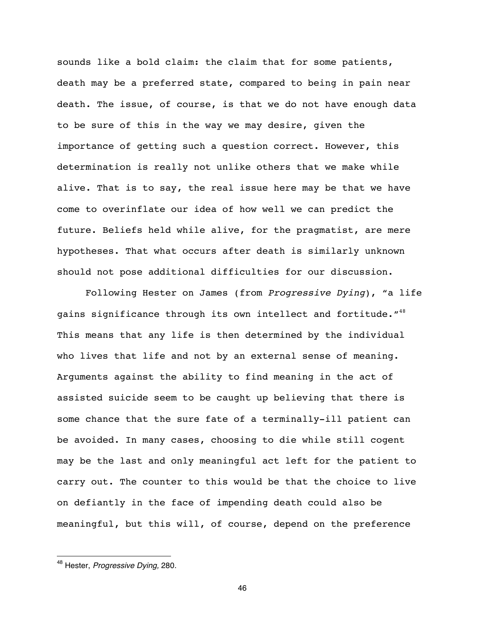sounds like a bold claim: the claim that for some patients, death may be a preferred state, compared to being in pain near death. The issue, of course, is that we do not have enough data to be sure of this in the way we may desire, given the importance of getting such a question correct. However, this determination is really not unlike others that we make while alive. That is to say, the real issue here may be that we have come to overinflate our idea of how well we can predict the future. Beliefs held while alive, for the pragmatist, are mere hypotheses. That what occurs after death is similarly unknown should not pose additional difficulties for our discussion.

Following Hester on James (from *Progressive Dying*), "a life gains significance through its own intellect and fortitude."<sup>48</sup> This means that any life is then determined by the individual who lives that life and not by an external sense of meaning. Arguments against the ability to find meaning in the act of assisted suicide seem to be caught up believing that there is some chance that the sure fate of a terminally-ill patient can be avoided. In many cases, choosing to die while still cogent may be the last and only meaningful act left for the patient to carry out. The counter to this would be that the choice to live on defiantly in the face of impending death could also be meaningful, but this will, of course, depend on the preference

 $\overline{a}$ 

<sup>48</sup> Hester, *Progressive Dying,* 280.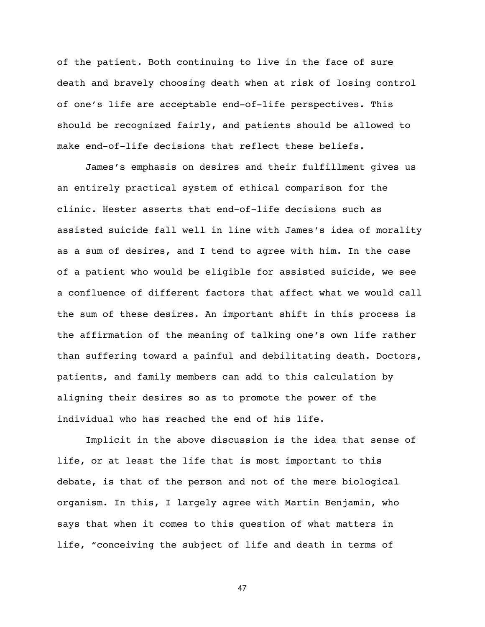of the patient. Both continuing to live in the face of sure death and bravely choosing death when at risk of losing control of one's life are acceptable end-of-life perspectives. This should be recognized fairly, and patients should be allowed to make end-of-life decisions that reflect these beliefs.

James's emphasis on desires and their fulfillment gives us an entirely practical system of ethical comparison for the clinic. Hester asserts that end-of-life decisions such as assisted suicide fall well in line with James's idea of morality as a sum of desires, and I tend to agree with him. In the case of a patient who would be eligible for assisted suicide, we see a confluence of different factors that affect what we would call the sum of these desires. An important shift in this process is the affirmation of the meaning of talking one's own life rather than suffering toward a painful and debilitating death. Doctors, patients, and family members can add to this calculation by aligning their desires so as to promote the power of the individual who has reached the end of his life.

Implicit in the above discussion is the idea that sense of life, or at least the life that is most important to this debate, is that of the person and not of the mere biological organism. In this, I largely agree with Martin Benjamin, who says that when it comes to this question of what matters in life, "conceiving the subject of life and death in terms of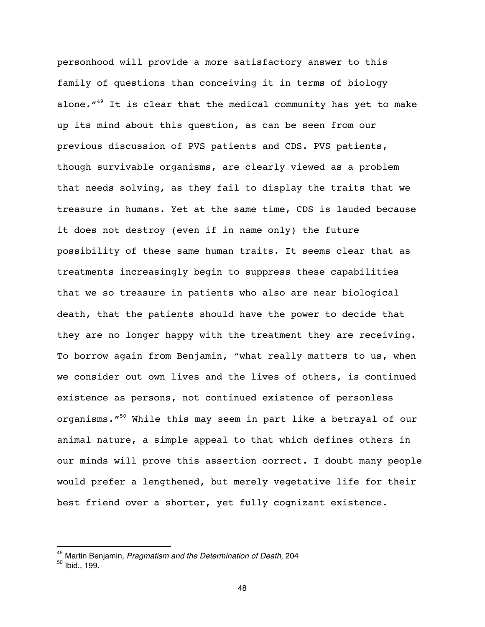personhood will provide a more satisfactory answer to this family of questions than conceiving it in terms of biology alone. $149$  It is clear that the medical community has yet to make up its mind about this question, as can be seen from our previous discussion of PVS patients and CDS. PVS patients, though survivable organisms, are clearly viewed as a problem that needs solving, as they fail to display the traits that we treasure in humans. Yet at the same time, CDS is lauded because it does not destroy (even if in name only) the future possibility of these same human traits. It seems clear that as treatments increasingly begin to suppress these capabilities that we so treasure in patients who also are near biological death, that the patients should have the power to decide that they are no longer happy with the treatment they are receiving. To borrow again from Benjamin, "what really matters to us, when we consider out own lives and the lives of others, is continued existence as persons, not continued existence of personless organisms."<sup>50</sup> While this may seem in part like a betrayal of our animal nature, a simple appeal to that which defines others in our minds will prove this assertion correct. I doubt many people would prefer a lengthened, but merely vegetative life for their best friend over a shorter, yet fully cognizant existence.

<sup>49</sup> Martin Benjamin, *Pragmatism and the Determination of Death*, 204

 $50$  lbid., 199.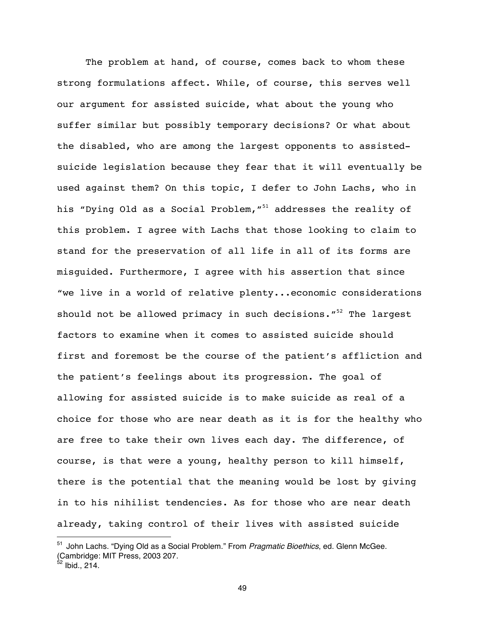The problem at hand, of course, comes back to whom these strong formulations affect. While, of course, this serves well our argument for assisted suicide, what about the young who suffer similar but possibly temporary decisions? Or what about the disabled, who are among the largest opponents to assistedsuicide legislation because they fear that it will eventually be used against them? On this topic, I defer to John Lachs, who in his "Dying Old as a Social Problem, "<sup>51</sup> addresses the reality of this problem. I agree with Lachs that those looking to claim to stand for the preservation of all life in all of its forms are misguided. Furthermore, I agree with his assertion that since "we live in a world of relative plenty...economic considerations should not be allowed primacy in such decisions. $15^2$  The largest factors to examine when it comes to assisted suicide should first and foremost be the course of the patient's affliction and the patient's feelings about its progression. The goal of allowing for assisted suicide is to make suicide as real of a choice for those who are near death as it is for the healthy who are free to take their own lives each day. The difference, of course, is that were a young, healthy person to kill himself, there is the potential that the meaning would be lost by giving in to his nihilist tendencies. As for those who are near death already, taking control of their lives with assisted suicide

<sup>51</sup> John Lachs. "Dying Old as a Social Problem." From *Pragmatic Bioethics*, ed. Glenn McGee. (Cambridge: MIT Press, 2003 207.

 $2$  Ibid., 214.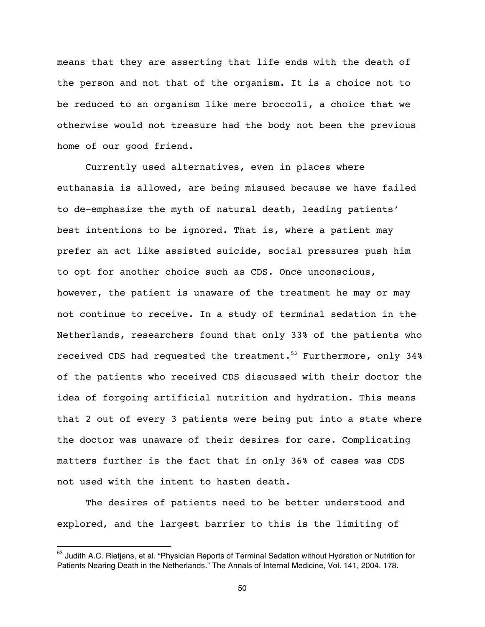means that they are asserting that life ends with the death of the person and not that of the organism. It is a choice not to be reduced to an organism like mere broccoli, a choice that we otherwise would not treasure had the body not been the previous home of our good friend.

Currently used alternatives, even in places where euthanasia is allowed, are being misused because we have failed to de-emphasize the myth of natural death, leading patients' best intentions to be ignored. That is, where a patient may prefer an act like assisted suicide, social pressures push him to opt for another choice such as CDS. Once unconscious, however, the patient is unaware of the treatment he may or may not continue to receive. In a study of terminal sedation in the Netherlands, researchers found that only 33% of the patients who received CDS had requested the treatment.<sup>53</sup> Furthermore, only 34% of the patients who received CDS discussed with their doctor the idea of forgoing artificial nutrition and hydration. This means that 2 out of every 3 patients were being put into a state where the doctor was unaware of their desires for care. Complicating matters further is the fact that in only 36% of cases was CDS not used with the intent to hasten death.

The desires of patients need to be better understood and explored, and the largest barrier to this is the limiting of

<sup>&</sup>lt;sup>53</sup> Judith A.C. Rietjens, et al. "Physician Reports of Terminal Sedation without Hydration or Nutrition for Patients Nearing Death in the Netherlands." The Annals of Internal Medicine, Vol. 141, 2004. 178.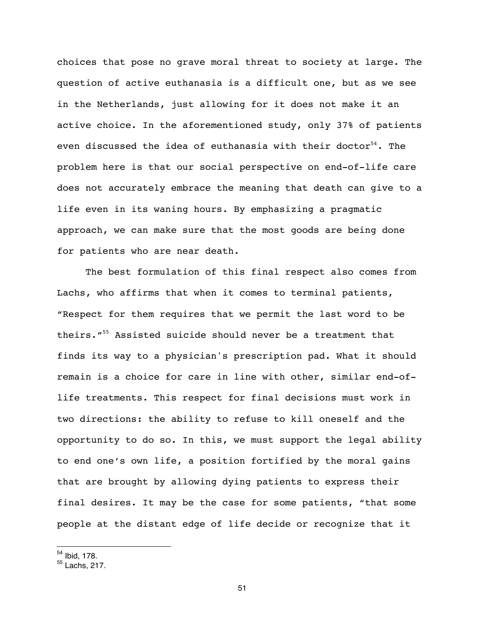choices that pose no grave moral threat to society at large. The question of active euthanasia is a difficult one, but as we see in the Netherlands, just allowing for it does not make it an active choice. In the aforementioned study, only 37% of patients even discussed the idea of euthanasia with their doctor $54$ . The problem here is that our social perspective on end-of-life care does not accurately embrace the meaning that death can give to a life even in its waning hours. By emphasizing a pragmatic approach, we can make sure that the most goods are being done for patients who are near death.

The best formulation of this final respect also comes from Lachs, who affirms that when it comes to terminal patients, "Respect for them requires that we permit the last word to be theirs."55 Assisted suicide should never be a treatment that finds its way to a physician's prescription pad. What it should remain is a choice for care in line with other, similar end-oflife treatments. This respect for final decisions must work in two directions: the ability to refuse to kill oneself and the opportunity to do so. In this, we must support the legal ability to end one's own life, a position fortified by the moral gains that are brought by allowing dying patients to express their final desires. It may be the case for some patients, "that some people at the distant edge of life decide or recognize that it

 $54$  Ibid, 178.

<sup>55</sup> Lachs, 217.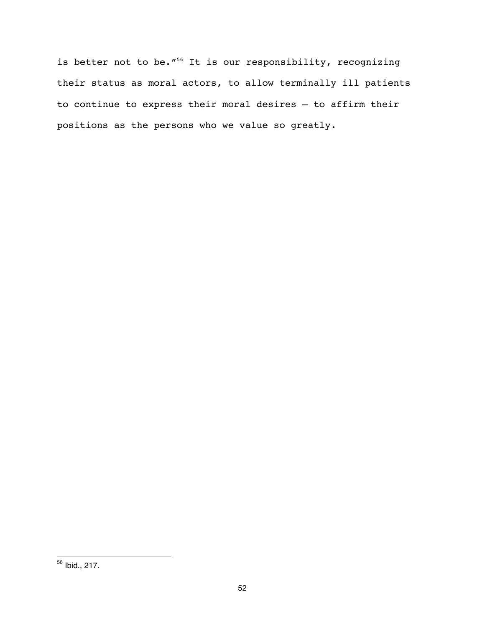is better not to be."<sup>56</sup> It is our responsibility, recognizing their status as moral actors, to allow terminally ill patients to continue to express their moral desires — to affirm their positions as the persons who we value so greatly.

<sup>&</sup>lt;sup>56</sup> Ibid., 217.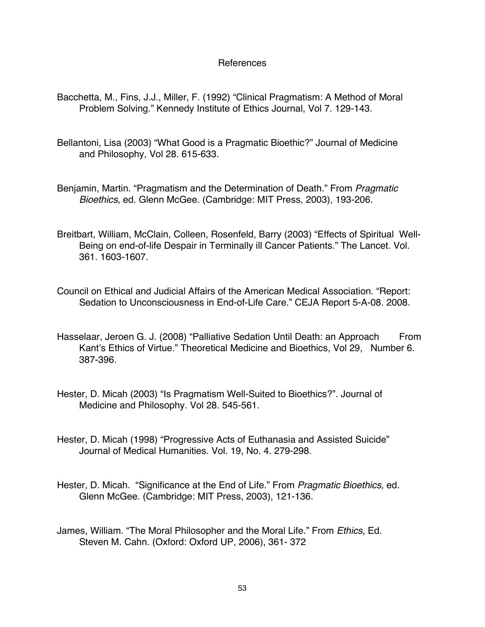### References

- Bacchetta, M., Fins, J.J., Miller, F. (1992) "Clinical Pragmatism: A Method of Moral Problem Solving." Kennedy Institute of Ethics Journal, Vol 7. 129-143.
- Bellantoni, Lisa (2003) "What Good is a Pragmatic Bioethic?" Journal of Medicine and Philosophy, Vol 28. 615-633.
- Benjamin, Martin. "Pragmatism and the Determination of Death." From *Pragmatic Bioethics*, ed. Glenn McGee. (Cambridge: MIT Press, 2003), 193-206.
- Breitbart, William, McClain, Colleen, Rosenfeld, Barry (2003) "Effects of Spiritual Well-Being on end-of-life Despair in Terminally ill Cancer Patients." The Lancet. Vol. 361. 1603-1607.
- Council on Ethical and Judicial Affairs of the American Medical Association. "Report: Sedation to Unconsciousness in End-of-Life Care." CEJA Report 5-A-08. 2008.
- Hasselaar, Jeroen G. J. (2008) "Palliative Sedation Until Death: an Approach From Kant's Ethics of Virtue." Theoretical Medicine and Bioethics, Vol 29, Number 6. 387-396.
- Hester, D. Micah (2003) "Is Pragmatism Well-Suited to Bioethics?". Journal of Medicine and Philosophy. Vol 28. 545-561.
- Hester, D. Micah (1998) "Progressive Acts of Euthanasia and Assisted Suicide" Journal of Medical Humanities. Vol. 19, No. 4. 279-298.
- Hester, D. Micah. "Significance at the End of Life." From *Pragmatic Bioethics*, ed. Glenn McGee. (Cambridge: MIT Press, 2003), 121-136.
- James, William. "The Moral Philosopher and the Moral Life." From *Ethics,* Ed. Steven M. Cahn. (Oxford: Oxford UP, 2006), 361- 372